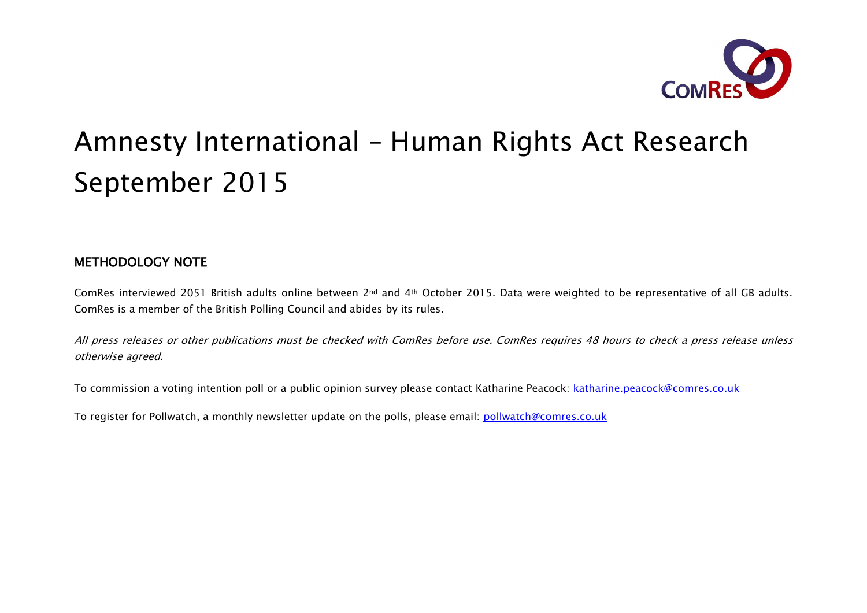

# Amnesty International – Human Rights Act Research September 2015

# METHODOLOGY NOTE

ComRes interviewed 2051 British adults online between 2nd and 4th October 2015. Data were weighted to be representative of all GB adults. ComRes is a member of the British Polling Council and abides by its rules.

All press releases or other publications must be checked with ComRes before use. ComRes requires 48 hours to check a press release unless otherwise agreed.

To commission a voting intention poll or a public opinion survey please contact Katharine Peacock: katharine.peacock@comres.co.uk

To register for Pollwatch, a monthly newsletter update on the polls, please email: pollwatch@comres.co.uk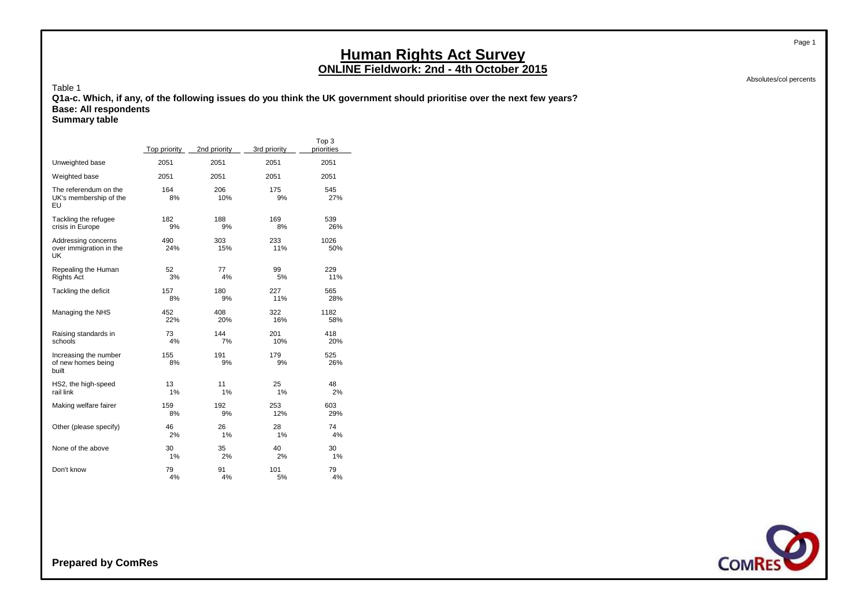Absolutes/col percents

Page 1

Table 1 **Q1a-c. Which, if any, of the following issues do you think the UK government should prioritise over the next few years? Base: All respondents Summary table**

|                                                       | Top priority | 2nd priority | 3rd priority | Top 3<br>priorities |
|-------------------------------------------------------|--------------|--------------|--------------|---------------------|
| Unweighted base                                       | 2051         | 2051         | 2051         | 2051                |
| Weighted base                                         | 2051         | 2051         | 2051         | 2051                |
| The referendum on the<br>UK's membership of the<br>EU | 164<br>8%    | 206<br>10%   | 175<br>9%    | 545<br>27%          |
| Tackling the refugee                                  | 182          | 188          | 169          | 539                 |
| crisis in Europe                                      | 9%           | 9%           | 8%           | 26%                 |
| Addressing concerns<br>over immigration in the<br>UK  | 490<br>24%   | 303<br>15%   | 233<br>11%   | 1026<br>50%         |
| Repealing the Human                                   | 52           | 77           | 99           | 229                 |
| <b>Rights Act</b>                                     | 3%           | 4%           | 5%           | 11%                 |
| Tackling the deficit                                  | 157          | 180          | 227          | 565                 |
|                                                       | 8%           | 9%           | 11%          | 28%                 |
| Managing the NHS                                      | 452          | 408          | 322          | 1182                |
|                                                       | 22%          | 20%          | 16%          | 58%                 |
| Raising standards in                                  | 73           | 144          | 201          | 418                 |
| schools                                               | 4%           | 7%           | 10%          | 20%                 |
| Increasing the number<br>of new homes being<br>built  | 155<br>8%    | 191<br>9%    | 179<br>9%    | 525<br>26%          |
| HS2, the high-speed                                   | 13           | 11           | 25           | 48                  |
| rail link                                             | 1%           | 1%           | 1%           | 2%                  |
| Making welfare fairer                                 | 159          | 192          | 253          | 603                 |
|                                                       | 8%           | 9%           | 12%          | 29%                 |
| Other (please specify)                                | 46           | 26           | 28           | 74                  |
|                                                       | 2%           | 1%           | 1%           | 4%                  |
| None of the above                                     | 30           | 35           | 40           | 30                  |
|                                                       | 1%           | 2%           | 2%           | 1%                  |
| Don't know                                            | 79           | 91           | 101          | 79                  |
|                                                       | 4%           | 4%           | 5%           | 4%                  |

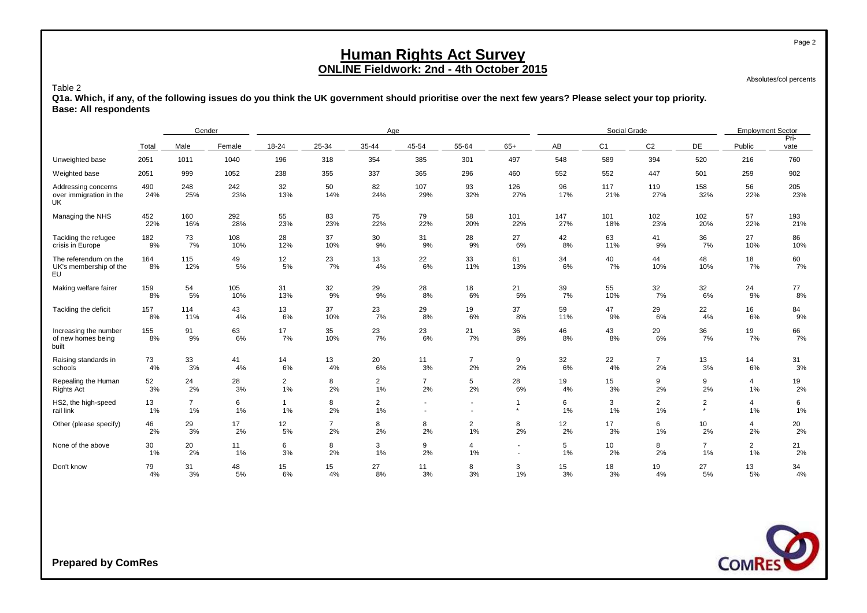Absolutes/col percents

#### Table 2

**Q1a. Which, if any, of the following issues do you think the UK government should prioritise over the next few years? Please select your top priority. Base: All respondents**

|                                                       |            | Gender         |            |                |                  | Age            |                          |                          |                          |           | Social Grade   |                |                 | <b>Employment Sector</b> |              |
|-------------------------------------------------------|------------|----------------|------------|----------------|------------------|----------------|--------------------------|--------------------------|--------------------------|-----------|----------------|----------------|-----------------|--------------------------|--------------|
|                                                       | Total      | Male           | Female     | 18-24          | 25-34            | 35-44          | 45-54                    | 55-64                    | $65+$                    | AB        | C <sub>1</sub> | C <sub>2</sub> | DE              | Public                   | Pri-<br>vate |
| Unweighted base                                       | 2051       | 1011           | 1040       | 196            | 318              | 354            | 385                      | 301                      | 497                      | 548       | 589            | 394            | 520             | 216                      | 760          |
| Weighted base                                         | 2051       | 999            | 1052       | 238            | 355              | 337            | 365                      | 296                      | 460                      | 552       | 552            | 447            | 501             | 259                      | 902          |
| Addressing concerns<br>over immigration in the<br>UK. | 490<br>24% | 248<br>25%     | 242<br>23% | 32<br>13%      | 50<br>14%        | 82<br>24%      | 107<br>29%               | 93<br>32%                | 126<br>27%               | 96<br>17% | 117<br>21%     | 119<br>27%     | 158<br>32%      | 56<br>22%                | 205<br>23%   |
| Managing the NHS                                      | 452        | 160            | 292        | 55             | 83               | 75             | 79                       | 58                       | 101                      | 147       | 101            | 102            | 102             | 57                       | 193          |
|                                                       | 22%        | 16%            | 28%        | 23%            | 23%              | 22%            | 22%                      | 20%                      | 22%                      | 27%       | 18%            | 23%            | 20%             | 22%                      | 21%          |
| Tackling the refugee                                  | 182        | 73             | 108        | 28             | 37               | 30             | 31                       | 28                       | 27                       | 42        | 63             | 41             | 36              | 27                       | 86           |
| crisis in Europe                                      | 9%         | 7%             | 10%        | 12%            | 10%              | 9%             | 9%                       | 9%                       | 6%                       | 8%        | 11%            | 9%             | 7%              | 10%                      | 10%          |
| The referendum on the<br>UK's membership of the<br>EU | 164<br>8%  | 115<br>12%     | 49<br>5%   | 12<br>5%       | 23<br>7%         | 13<br>4%       | 22<br>6%                 | 33<br>11%                | 61<br>13%                | 34<br>6%  | 40<br>7%       | 44<br>10%      | 48<br>10%       | 18<br>7%                 | 60<br>7%     |
| Making welfare fairer                                 | 159        | 54             | 105        | 31             | 32               | 29             | 28                       | 18                       | 21                       | 39        | 55             | 32             | 32              | 24                       | 77           |
|                                                       | 8%         | 5%             | 10%        | 13%            | 9%               | 9%             | 8%                       | 6%                       | 5%                       | 7%        | 10%            | 7%             | 6%              | 9%                       | 8%           |
| Tackling the deficit                                  | 157        | 114            | 43         | 13             | 37               | 23             | 29                       | 19                       | 37                       | 59        | 47             | 29             | 22              | 16                       | 84           |
|                                                       | 8%         | 11%            | 4%         | 6%             | 10%              | 7%             | 8%                       | 6%                       | 8%                       | 11%       | 9%             | 6%             | 4%              | 6%                       | 9%           |
| Increasing the number<br>of new homes being<br>built  | 155<br>8%  | 91<br>9%       | 63<br>6%   | 17<br>7%       | 35<br>10%        | 23<br>7%       | 23<br>6%                 | 21<br>7%                 | 36<br>8%                 | 46<br>8%  | 43<br>8%       | 29<br>6%       | 36<br>7%        | 19<br>7%                 | 66<br>7%     |
| Raising standards in                                  | 73         | 33             | 41         | 14             | 13               | 20             | 11                       | $\overline{7}$           | 9                        | 32        | 22             | $\overline{7}$ | 13              | 14                       | 31           |
| schools                                               | 4%         | 3%             | 4%         | 6%             | 4%               | 6%             | 3%                       | 2%                       | 2%                       | 6%        | 4%             | 2%             | 3%              | 6%                       | 3%           |
| Repealing the Human                                   | 52         | 24             | 28         | 2              | 8                | $\overline{2}$ | $\overline{7}$           | 5                        | 28                       | 19        | 15             | 9              | 9               | 4                        | 19           |
| <b>Rights Act</b>                                     | 3%         | 2%             | 3%         | $1\%$          | 2%               | 1%             | 2%                       | 2%                       | 6%                       | 4%        | 3%             | 2%             | 2%              | 1%                       | 2%           |
| HS2, the high-speed                                   | 13         | $\overline{7}$ | 6          | $\overline{1}$ | 8                | $\overline{2}$ | $\overline{\phantom{0}}$ | $\overline{\phantom{a}}$ | $\star$                  | 6         | 3              | $\overline{2}$ | $\overline{2}$  | 4                        | 6            |
| rail link                                             | 1%         | 1%             | 1%         | 1%             | 2%               | 1%             | ٠                        | $\overline{a}$           |                          | 1%        | 1%             | 1%             | $\star$         | 1%                       | 1%           |
| Other (please specify)                                | 46         | 29             | 17         | 12             | $\overline{7}$   | 8              | 8                        | $\overline{2}$           | 8                        | 12        | 17             | 6              | 10 <sup>°</sup> | 4                        | 20           |
|                                                       | 2%         | 3%             | 2%         | 5%             | 2%               | 2%             | 2%                       | 1%                       | 2%                       | 2%        | 3%             | 1%             | 2%              | 2%                       | 2%           |
| None of the above                                     | 30         | 20             | 11         | 6              | 8                | 3              | 9                        | $\overline{4}$           | $\overline{\phantom{a}}$ | 5         | 10             | 8              | $\overline{7}$  | $\overline{2}$           | 21           |
|                                                       | 1%         | 2%             | 1%         | 3%             | 2%               | 1%             | 2%                       | 1%                       | $\overline{\phantom{a}}$ | 1%        | 2%             | 2%             | 1%              | 1%                       | 2%           |
| Don't know                                            | 79         | 31             | 48         | 15             | 15 <sub>15</sub> | 27             | 11                       | 8                        | 3                        | 15        | 18             | 19             | 27              | 13                       | 34           |
|                                                       | 4%         | 3%             | 5%         | 6%             | 4%               | 8%             | 3%                       | 3%                       | 1%                       | 3%        | 3%             | 4%             | 5%              | 5%                       | 4%           |

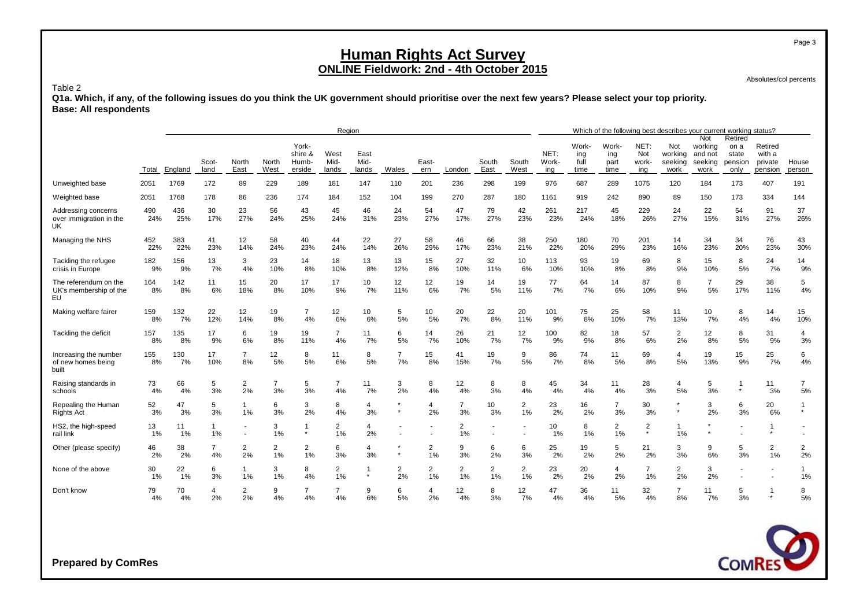Absolutes/col percents

#### Table 2

**Q1a. Which, if any, of the following issues do you think the UK government should prioritise over the next few years? Please select your top priority. Base: All respondents**

|                                                       |             |            |                                                                                                                                                                                                               |                      |                      |                      | Region               |                        |                      |           |                      |                      |                      |            |                              |                              |                             | Which of the following best describes your current working status? |                                              |                                             |                                         |                      |
|-------------------------------------------------------|-------------|------------|---------------------------------------------------------------------------------------------------------------------------------------------------------------------------------------------------------------|----------------------|----------------------|----------------------|----------------------|------------------------|----------------------|-----------|----------------------|----------------------|----------------------|------------|------------------------------|------------------------------|-----------------------------|--------------------------------------------------------------------|----------------------------------------------|---------------------------------------------|-----------------------------------------|----------------------|
|                                                       | Total       | England    | York-<br>shire &<br>West<br>East<br>Scot-<br>Mid-<br>Mid-<br>South<br>South<br>North<br>North<br>Humb-<br>East-<br>East<br>West<br>East<br>West<br>land<br>erside<br>lands<br>lands<br>Wales<br>London<br>ern |                      |                      |                      |                      |                        |                      |           |                      |                      |                      |            | Work-<br>ing<br>full<br>time | Work-<br>ing<br>part<br>time | NET:<br>Not<br>work-<br>ing | Not<br>working<br>seeking<br>work                                  | Not<br>working<br>and not<br>seeking<br>work | Retired<br>on a<br>state<br>pension<br>only | Retired<br>with a<br>private<br>pension | House<br>person      |
| Unweighted base                                       | 2051        | 1769       | 172                                                                                                                                                                                                           | 89                   | 229                  | 189                  | 181                  | 147                    | 110                  | 201       | 236                  | 298                  | 199                  | 976        | 687                          | 289                          | 1075                        | 120                                                                | 184                                          | 173                                         | 407                                     | 191                  |
| Weighted base                                         | 2051        | 1768       | 178                                                                                                                                                                                                           | 86                   | 236                  | 174                  | 184                  | 152                    | 104                  | 199       | 270                  | 287                  | 180                  | 1161       | 919                          | 242                          | 890                         | 89                                                                 | 150                                          | 173                                         | 334                                     | 144                  |
| Addressing concerns<br>over immigration in the<br>UK  | 490<br>24%  | 436<br>25% | 30<br>17%                                                                                                                                                                                                     | 23<br>27%            | 56<br>24%            | 43<br>25%            | 45<br>24%            | 46<br>31%              | 24<br>23%            | 54<br>27% | 47<br>17%            | 79<br>27%            | 42<br>23%            | 261<br>23% | 217<br>24%                   | 45<br>18%                    | 229<br>26%                  | 24<br>27%                                                          | 22<br>15%                                    | 54<br>31%                                   | 91<br>27%                               | 37<br>26%            |
| Managing the NHS                                      | 452<br>22%  | 383<br>22% | 41<br>23%                                                                                                                                                                                                     | 12<br>14%            | 58<br>24%            | 40<br>23%            | 44<br>24%            | 22<br>14%              | 27<br>26%            | 58<br>29% | 46<br>17%            | 66<br>23%            | 38<br>21%            | 250<br>22% | 180<br>20%                   | 70<br>29%                    | 201<br>23%                  | 14<br>16%                                                          | 34<br>23%                                    | 34<br>20%                                   | 76<br>23%                               | 43<br>30%            |
| Tackling the refugee<br>crisis in Europe              | 182<br>9%   | 156<br>9%  | 13<br>7%                                                                                                                                                                                                      | 3<br>4%              | 23<br>10%            | 14<br>8%             | 18<br>10%            | 13<br>8%               | 13<br>12%            | 15<br>8%  | 27<br>10%            | 32<br>11%            | 10<br>6%             | 113<br>10% | 93<br>10%                    | 19<br>8%                     | 69<br>8%                    | 8<br>9%                                                            | 15<br>10%                                    | 8<br>5%                                     | 24<br>7%                                | 14<br>9%             |
| The referendum on the<br>UK's membership of the<br>EU | 164<br>8%   | 142<br>8%  | 11<br>6%                                                                                                                                                                                                      | 15<br>18%            | 20<br>8%             | 17<br>10%            | 17<br>9%             | 10<br>7%               | 12<br>11%            | 12<br>6%  | 19<br>7%             | 14<br>5%             | 19<br>11%            | 77<br>7%   | 64<br>7%                     | 14<br>6%                     | 87<br>10%                   | 8<br>9%                                                            | $\overline{7}$<br>5%                         | 29<br>17%                                   | 38<br>11%                               | 5<br>4%              |
| Making welfare fairer                                 | 159<br>8%   | 132<br>7%  | 22<br>12%                                                                                                                                                                                                     | 12<br>14%            | 19<br>8%             | $\overline{7}$<br>4% | 12<br>6%             | 10 <sup>10</sup><br>6% | 5<br>5%              | 10<br>5%  | 20<br>7%             | 22<br>8%             | 20<br>11%            | 101<br>9%  | 75<br>8%                     | 25<br>10%                    | 58<br>7%                    | 11<br>13%                                                          | 10<br>7%                                     | 8<br>4%                                     | 14<br>4%                                | 15<br>10%            |
| Tackling the deficit                                  | 157<br>8%   | 135<br>8%  | 17<br>9%                                                                                                                                                                                                      | 6<br>6%              | 19<br>8%             | 19<br>11%            | $\overline{7}$<br>4% | 11<br>7%               | 6<br>5%              | 14<br>7%  | 26<br>10%            | 21<br>7%             | 12<br>7%             | 100<br>9%  | 82<br>9%                     | 18<br>8%                     | 57<br>6%                    | $\overline{2}$<br>2%                                               | 12<br>8%                                     | 8<br>5%                                     | 31<br>9%                                | 4<br>3%              |
| Increasing the number<br>of new homes being<br>built  | 155<br>8%   | 130<br>7%  | 17<br>10%                                                                                                                                                                                                     | $\overline{7}$<br>8% | 12<br>5%             | 8<br>5%              | 11<br>6%             | 8<br>5%                | $\overline{7}$<br>7% | 15<br>8%  | 41<br>15%            | 19<br>7%             | 9<br>5%              | 86<br>7%   | 74<br>8%                     | 11<br>5%                     | 69<br>8%                    | 4<br>5%                                                            | 19<br>13%                                    | 15<br>9%                                    | 25<br>7%                                | 6<br>4%              |
| Raising standards in<br>schools                       | 73<br>4%    | 66<br>4%   | 5<br>3%                                                                                                                                                                                                       | $\overline{2}$<br>2% | $\overline{7}$<br>3% | 5<br>3%              | $\overline{7}$<br>4% | 11<br>7%               | 3<br>2%              | 8<br>4%   | 12<br>4%             | 8<br>3%              | 8<br>4%              | 45<br>4%   | 34<br>4%                     | 11<br>4%                     | 28<br>3%                    | $\overline{4}$<br>5%                                               | 5<br>3%                                      | $\star$                                     | 11<br>3%                                | $\overline{7}$<br>5% |
| Repealing the Human<br>Rights Act                     | 52<br>3%    | 47<br>3%   | 5<br>3%                                                                                                                                                                                                       | 1<br>1%              | 6<br>3%              | 3<br>2%              | 8<br>4%              | 4<br>3%                | $\star$              | 4<br>2%   | $\overline{7}$<br>3% | 10<br>3%             | $\overline{2}$<br>1% | 23<br>2%   | 16<br>2%                     | $\overline{7}$<br>3%         | 30<br>3%                    | $\star$                                                            | 3<br>2%                                      | 6<br>3%                                     | 20<br>6%                                | 1<br>$\star$         |
| HS2, the high-speed<br>rail link                      | 13<br>$1\%$ | 11<br>1%   | $\mathbf{1}$<br>1%                                                                                                                                                                                            |                      | 3<br>1%              | -1<br>$\star$        | $\overline{2}$<br>1% | 4<br>2%                |                      |           | 2<br>1%              |                      | ٠                    | 10<br>1%   | 8<br>1%                      | $\overline{2}$<br>1%         | $\overline{2}$<br>$\star$   | 1<br>1%                                                            |                                              |                                             | $\star$                                 |                      |
| Other (please specify)                                | 46<br>2%    | 38<br>2%   | $\overline{7}$<br>4%                                                                                                                                                                                          | $\overline{2}$<br>2% | $\overline{2}$<br>1% | $\overline{2}$<br>1% | 6<br>3%              | 4<br>3%                | $\star$              | 2<br>1%   | 9<br>3%              | 6<br>2%              | 6<br>3%              | 25<br>2%   | 19<br>2%                     | 5<br>2%                      | 21<br>2%                    | 3<br>3%                                                            | 9<br>6%                                      | 5<br>3%                                     | 2<br>1%                                 | $\overline{c}$<br>2% |
| None of the above                                     | 30<br>$1\%$ | 22<br>1%   | 6<br>3%                                                                                                                                                                                                       | $\mathbf{1}$<br>1%   | 3<br>1%              | 8<br>4%              | $\overline{2}$<br>1% | -1<br>$\star$          | $\overline{2}$<br>2% | 2<br>1%   | $\overline{c}$<br>1% | $\overline{2}$<br>1% | $\overline{2}$<br>1% | 23<br>2%   | 20<br>2%                     | $\overline{4}$<br>2%         | $\overline{7}$<br>1%        | $\overline{a}$<br>2%                                               | 3<br>2%                                      |                                             |                                         | 1<br>1%              |
| Don't know                                            | 79<br>4%    | 70<br>4%   | 4<br>2%                                                                                                                                                                                                       | $\overline{2}$<br>2% | 9<br>4%              | 7<br>4%              | 7<br>4%              | 9<br>6%                | 6<br>5%              | 2%        | 12<br>4%             | 8<br>3%              | 12<br>7%             | 47<br>4%   | 36<br>4%                     | 11<br>5%                     | 32<br>4%                    | 7<br>8%                                                            | 11<br>7%                                     | 5<br>3%                                     | 1<br>$\star$                            | 8<br>5%              |

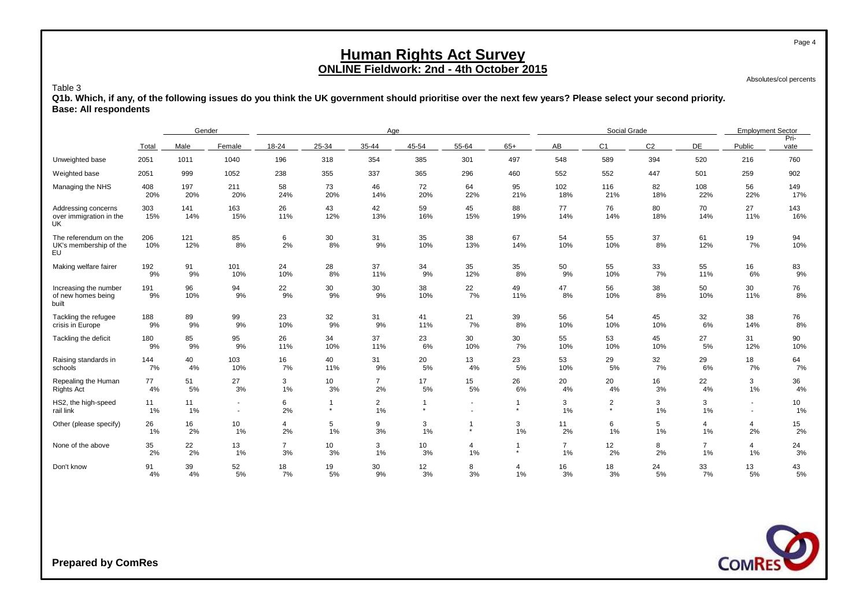Absolutes/col percents

#### Table 3

**Q1b. Which, if any, of the following issues do you think the UK government should prioritise over the next few years? Please select your second priority. Base: All respondents**

|                                                             |            | Gender     |                                  |                      |                           | Age                  |           |                |           |                      | Social Grade              |                |                      | <b>Employment Sector</b> |                       |
|-------------------------------------------------------------|------------|------------|----------------------------------|----------------------|---------------------------|----------------------|-----------|----------------|-----------|----------------------|---------------------------|----------------|----------------------|--------------------------|-----------------------|
|                                                             | Total      | Male       | Female                           | 18-24                | 25-34                     | 35-44                | 45-54     | 55-64          | $65+$     | AB                   | C <sub>1</sub>            | C <sub>2</sub> | DE                   | Public                   | Pri-<br>vate          |
| Unweighted base                                             | 2051       | 1011       | 1040                             | 196                  | 318                       | 354                  | 385       | 301            | 497       | 548                  | 589                       | 394            | 520                  | 216                      | 760                   |
| Weighted base                                               | 2051       | 999        | 1052                             | 238                  | 355                       | 337                  | 365       | 296            | 460       | 552                  | 552                       | 447            | 501                  | 259                      | 902                   |
| Managing the NHS                                            | 408<br>20% | 197<br>20% | 211<br>20%                       | 58<br>24%            | 73<br>20%                 | 46<br>14%            | 72<br>20% | 64<br>22%      | 95<br>21% | 102<br>18%           | 116<br>21%                | 82<br>18%      | 108<br>22%           | 56<br>22%                | 149<br>17%            |
| Addressing concerns<br>over immigration in the<br><b>UK</b> | 303<br>15% | 141<br>14% | 163<br>15%                       | 26<br>11%            | 43<br>12%                 | 42<br>13%            | 59<br>16% | 45<br>15%      | 88<br>19% | 77<br>14%            | 76<br>14%                 | 80<br>18%      | 70<br>14%            | 27<br>11%                | 143<br>16%            |
| The referendum on the<br>UK's membership of the<br>EU       | 206<br>10% | 121<br>12% | 85<br>8%                         | 6<br>2%              | 30<br>8%                  | 31<br>9%             | 35<br>10% | 38<br>13%      | 67<br>14% | 54<br>10%            | 55<br>10%                 | 37<br>8%       | 61<br>12%            | 19<br>7%                 | 94<br>10%             |
| Making welfare fairer                                       | 192<br>9%  | 91<br>9%   | 101<br>10%                       | 24<br>10%            | 28<br>8%                  | 37<br>11%            | 34<br>9%  | 35<br>12%      | 35<br>8%  | 50<br>9%             | 55<br>10%                 | 33<br>7%       | 55<br>11%            | 16<br>6%                 | 83<br>9%              |
| Increasing the number<br>of new homes being<br>built        | 191<br>9%  | 96<br>10%  | 94<br>9%                         | 22<br>9%             | 30<br>9%                  | 30<br>9%             | 38<br>10% | 22<br>7%       | 49<br>11% | 47<br>8%             | 56<br>10%                 | 38<br>8%       | 50<br>10%            | 30<br>11%                | 76<br>8%              |
| Tackling the refugee<br>crisis in Europe                    | 188<br>9%  | 89<br>9%   | 99<br>9%                         | 23<br>10%            | 32<br>9%                  | 31<br>9%             | 41<br>11% | 21<br>7%       | 39<br>8%  | 56<br>10%            | 54<br>10%                 | 45<br>10%      | 32<br>6%             | 38<br>14%                | 76<br>8%              |
| Tackling the deficit                                        | 180<br>9%  | 85<br>9%   | 95<br>9%                         | 26<br>11%            | 34<br>10%                 | 37<br>11%            | 23<br>6%  | 30<br>10%      | 30<br>7%  | 55<br>10%            | 53<br>10%                 | 45<br>10%      | 27<br>5%             | 31<br>12%                | 90<br>10%             |
| Raising standards in<br>schools                             | 144<br>7%  | 40<br>4%   | 103<br>10%                       | 16<br>7%             | 40<br>11%                 | 31<br>9%             | 20<br>5%  | 13<br>4%       | 23<br>5%  | 53<br>10%            | 29<br>5%                  | 32<br>7%       | 29<br>6%             | 18<br>7%                 | 64<br>7%              |
| Repealing the Human<br><b>Rights Act</b>                    | 77<br>4%   | 51<br>5%   | 27<br>3%                         | 3<br>1%              | 10<br>3%                  | $\overline{7}$<br>2% | 17<br>5%  | 15<br>5%       | 26<br>6%  | 20<br>4%             | 20<br>4%                  | 16<br>3%       | 22<br>4%             | 3<br>1%                  | 36<br>4%              |
| HS2, the high-speed<br>rail link                            | 11<br>1%   | 11<br>1%   | $\blacksquare$<br>$\blacksquare$ | 6<br>2%              | $\overline{1}$<br>$\star$ | $\overline{2}$<br>1% | $\star$   | $\blacksquare$ | $\star$   | 3<br>1%              | $\overline{c}$<br>$\star$ | 3<br>1%        | 3<br>1%              |                          | 10 <sup>1</sup><br>1% |
| Other (please specify)                                      | 26<br>1%   | 16<br>2%   | 10<br>1%                         | $\overline{4}$<br>2% | 5<br>1%                   | 9<br>3%              | 3<br>1%   | $\star$        | 3<br>1%   | 11<br>2%             | 6<br>1%                   | 5<br>1%        | 4<br>1%              | 4<br>2%                  | 15<br>2%              |
| None of the above                                           | 35<br>2%   | 22<br>2%   | 13<br>1%                         | $\overline{7}$<br>3% | 10<br>3%                  | 3<br>1%              | 10<br>3%  | 4<br>1%        | $\star$   | $\overline{7}$<br>1% | 12<br>2%                  | 8<br>2%        | $\overline{7}$<br>1% | 4<br>1%                  | 24<br>3%              |
| Don't know                                                  | 91<br>4%   | 39<br>4%   | 52<br>5%                         | 18<br>7%             | 19<br>5%                  | 30<br>9%             | 12<br>3%  | 8<br>3%        | 4<br>1%   | 16<br>3%             | 18<br>3%                  | 24<br>5%       | 33<br>7%             | 13<br>5%                 | 43<br>5%              |

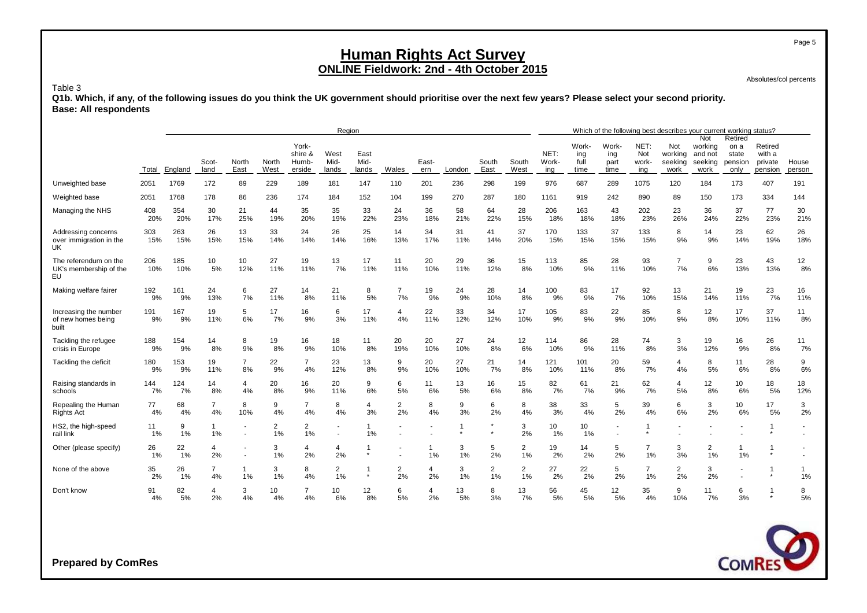Absolutes/col percents

Page 5

#### Table 3

**Q1b. Which, if any, of the following issues do you think the UK government should prioritise over the next few years? Please select your second priority. Base: All respondents**

|                                                             |            |            |                       |                      |               |                                     | Region                |                         |                      |                      |           |                      |                      |                      |                              | Which of the following best describes your current working status? |                             |                                   |                                              |                                             |                                         |                 |
|-------------------------------------------------------------|------------|------------|-----------------------|----------------------|---------------|-------------------------------------|-----------------------|-------------------------|----------------------|----------------------|-----------|----------------------|----------------------|----------------------|------------------------------|--------------------------------------------------------------------|-----------------------------|-----------------------------------|----------------------------------------------|---------------------------------------------|-----------------------------------------|-----------------|
|                                                             | Total      | England    | Scot-<br>land         | North<br>East        | North<br>West | York-<br>shire &<br>Humb-<br>erside | West<br>Mid-<br>lands | East<br>Mid-<br>lands   | Wales                | East-<br>ern         | London    | South<br>East        | South<br>West        | NET:<br>Work-<br>ing | Work-<br>ing<br>full<br>time | Work-<br>ing<br>part<br>time                                       | NET:<br>Not<br>work-<br>ina | Not<br>working<br>seeking<br>work | Not<br>working<br>and not<br>seeking<br>work | Retired<br>on a<br>state<br>pension<br>only | Retired<br>with a<br>private<br>pension | House<br>person |
| Unweighted base                                             | 2051       | 1769       | 172                   | 89                   | 229           | 189                                 | 181                   | 147                     | 110                  | 201                  | 236       | 298                  | 199                  | 976                  | 687                          | 289                                                                | 1075                        | 120                               | 184                                          | 173                                         | 407                                     | 191             |
| Weighted base                                               | 2051       | 1768       | 178                   | 86                   | 236           | 174                                 | 184                   | 152                     | 104                  | 199                  | 270       | 287                  | 180                  | 1161                 | 919                          | 242                                                                | 890                         | 89                                | 150                                          | 173                                         | 334                                     | 144             |
| Managing the NHS                                            | 408<br>20% | 354<br>20% | 30<br>17%             | 21<br>25%            | 44<br>19%     | 35<br>20%                           | 35<br>19%             | 33<br>22%               | 24<br>23%            | 36<br>18%            | 58<br>21% | 64<br>22%            | 28<br>15%            | 206<br>18%           | 163<br>18%                   | 43<br>18%                                                          | 202<br>23%                  | 23<br>26%                         | 36<br>24%                                    | 37<br>22%                                   | 77<br>23%                               | 30<br>21%       |
| Addressing concerns<br>over immigration in the<br><b>UK</b> | 303<br>15% | 263<br>15% | 26<br>15%             | 13<br>15%            | 33<br>14%     | 24<br>14%                           | 26<br>14%             | 25<br>16%               | 14<br>13%            | 34<br>17%            | 31<br>11% | 41<br>14%            | 37<br>20%            | 170<br>15%           | 133<br>15%                   | 37<br>15%                                                          | 133<br>15%                  | 8<br>9%                           | 14<br>9%                                     | 23<br>14%                                   | 62<br>19%                               | 26<br>18%       |
| The referendum on the<br>UK's membership of the<br>EU       | 206<br>10% | 185<br>10% | 10 <sup>1</sup><br>5% | 10<br>12%            | 27<br>11%     | 19<br>11%                           | 13<br>7%              | 17<br>11%               | 11<br>11%            | 20<br>10%            | 29<br>11% | 36<br>12%            | 15<br>8%             | 113<br>10%           | 85<br>9%                     | 28<br>11%                                                          | 93<br>10%                   | $\overline{7}$<br>7%              | 9<br>6%                                      | 23<br>13%                                   | 43<br>13%                               | 12<br>8%        |
| Making welfare fairer                                       | 192<br>9%  | 161<br>9%  | 24<br>13%             | 6<br>7%              | 27<br>11%     | 14<br>8%                            | 21<br>11%             | 8<br>5%                 | $\overline{7}$<br>7% | 19<br>9%             | 24<br>9%  | 28<br>10%            | 14<br>8%             | 100<br>9%            | 83<br>9%                     | 17<br>7%                                                           | 92<br>10%                   | 13<br>15%                         | 21<br>14%                                    | 19<br>11%                                   | 23<br>7%                                | 16<br>11%       |
| Increasing the number<br>of new homes being<br>built        | 191<br>9%  | 167<br>9%  | 19<br>11%             | 5<br>6%              | 17<br>7%      | 16<br>9%                            | 6<br>3%               | 17<br>11%               | $\overline{4}$<br>4% | 22<br>11%            | 33<br>12% | 34<br>12%            | 17<br>10%            | 105<br>9%            | 83<br>9%                     | 22<br>9%                                                           | 85<br>10%                   | 8<br>9%                           | 12<br>8%                                     | 17<br>10%                                   | 37<br>11%                               | 11<br>8%        |
| Tackling the refugee<br>crisis in Europe                    | 188<br>9%  | 154<br>9%  | 14<br>8%              | 8<br>9%              | 19<br>8%      | 16<br>9%                            | 18<br>10%             | 11<br>8%                | 20<br>19%            | 20<br>10%            | 27<br>10% | 24<br>8%             | 12<br>6%             | 114<br>10%           | 86<br>9%                     | 28<br>11%                                                          | 74<br>8%                    | 3<br>3%                           | 19<br>12%                                    | 16<br>9%                                    | 26<br>8%                                | 11<br>7%        |
| Tackling the deficit                                        | 180<br>9%  | 153<br>9%  | 19<br>11%             | $\overline{7}$<br>8% | 22<br>9%      | $\overline{7}$<br>4%                | 23<br>12%             | 13<br>8%                | 9<br>9%              | 20<br>10%            | 27<br>10% | 21<br>7%             | 14<br>8%             | 121<br>10%           | 101<br>11%                   | 20<br>8%                                                           | 59<br>7%                    | 4<br>4%                           | 8<br>5%                                      | 11<br>6%                                    | 28<br>8%                                | 9<br>6%         |
| Raising standards in<br>schools                             | 144<br>7%  | 124<br>7%  | 14<br>8%              | $\overline{4}$<br>4% | 20<br>8%      | 16<br>9%                            | 20<br>11%             | 9<br>6%                 | 6<br>5%              | 11<br>6%             | 13<br>5%  | 16<br>6%             | 15<br>8%             | 82<br>7%             | 61<br>7%                     | 21<br>9%                                                           | 62<br>7%                    | 4<br>5%                           | 12<br>8%                                     | 10<br>6%                                    | 18<br>5%                                | 18<br>12%       |
| Repealing the Human<br>Rights Act                           | 77<br>4%   | 68<br>4%   | $\overline{7}$<br>4%  | 8<br>10%             | 9<br>4%       | $\overline{7}$<br>4%                | 8<br>4%               | 4<br>3%                 | $\overline{2}$<br>2% | 8<br>4%              | 9<br>3%   | 6<br>2%              | 8<br>4%              | 38<br>3%             | 33<br>4%                     | 5<br>2%                                                            | 39<br>4%                    | 6<br>6%                           | 3<br>2%                                      | 10<br>6%                                    | 17<br>5%                                | 3<br>2%         |
| HS2, the high-speed<br>rail link                            | 11<br>1%   | 9<br>1%    | $\mathbf{1}$<br>1%    |                      | 2<br>1%       | $\overline{2}$<br>1%                |                       | $\overline{1}$<br>1%    |                      |                      |           |                      | 3<br>2%              | 10<br>1%             | 10<br>1%                     |                                                                    |                             |                                   |                                              |                                             |                                         |                 |
| Other (please specify)                                      | 26<br>1%   | 22<br>1%   | $\overline{4}$<br>2%  |                      | 3<br>1%       | 4<br>2%                             | 4<br>2%               | $\overline{\mathbf{1}}$ |                      | 1%                   | 3<br>1%   | 5<br>2%              | $\overline{2}$<br>1% | 19<br>2%             | 14<br>2%                     | 5<br>2%                                                            | $\overline{7}$<br>1%        | 3<br>3%                           | $\overline{2}$<br>1%                         | $\mathbf{1}$<br>1%                          | 1                                       |                 |
| None of the above                                           | 35<br>2%   | 26<br>1%   | $\overline{7}$<br>4%  | 1<br>1%              | 3<br>1%       | 8<br>4%                             | $\overline{2}$<br>1%  | -1<br>$\star$           | $\overline{2}$<br>2% | $\overline{4}$<br>2% | 3<br>1%   | $\overline{2}$<br>1% | $\overline{2}$<br>1% | 27<br>2%             | 22<br>2%                     | 5<br>2%                                                            | $\overline{7}$<br>1%        | $\overline{2}$<br>2%              | 3<br>2%                                      |                                             |                                         | 1<br>1%         |
| Don't know                                                  | 91<br>4%   | 82<br>5%   | 4<br>2%               | 3<br>4%              | 10<br>4%      | $\overline{7}$<br>4%                | 10<br>6%              | 12<br>8%                | 6<br>5%              | 2%                   | 13<br>5%  | 8<br>3%              | 13<br>7%             | 56<br>5%             | 45<br>5%                     | 12<br>5%                                                           | 35<br>4%                    | 9<br>10%                          | 11<br>7%                                     | 6<br>3%                                     |                                         | 8<br>5%         |

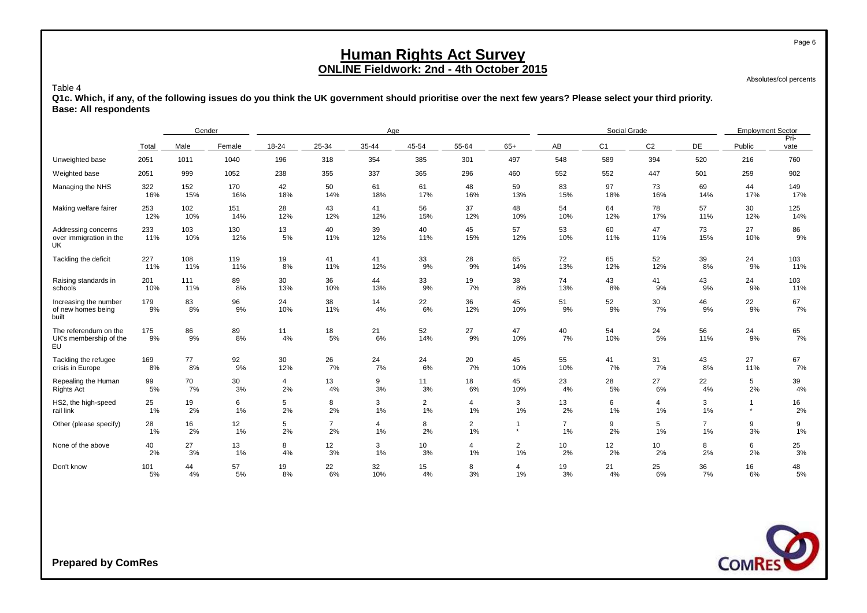Absolutes/col percents

Page 6

#### Table 4

**Q1c. Which, if any, of the following issues do you think the UK government should prioritise over the next few years? Please select your third priority. Base: All respondents**

|                                                       |            | Gender     |            |                |                      | Age       |                |                      |                |                      | Social Grade   |                |                      | <b>Employment Sector</b> |              |
|-------------------------------------------------------|------------|------------|------------|----------------|----------------------|-----------|----------------|----------------------|----------------|----------------------|----------------|----------------|----------------------|--------------------------|--------------|
|                                                       | Total      | Male       | Female     | 18-24          | 25-34                | 35-44     | 45-54          | 55-64                | $65+$          | AB                   | C <sub>1</sub> | C <sub>2</sub> | DE                   | Public                   | Pri-<br>vate |
| Unweighted base                                       | 2051       | 1011       | 1040       | 196            | 318                  | 354       | 385            | 301                  | 497            | 548                  | 589            | 394            | 520                  | 216                      | 760          |
| Weighted base                                         | 2051       | 999        | 1052       | 238            | 355                  | 337       | 365            | 296                  | 460            | 552                  | 552            | 447            | 501                  | 259                      | 902          |
| Managing the NHS                                      | 322        | 152        | 170        | 42             | 50                   | 61        | 61             | 48                   | 59             | 83                   | 97             | 73             | 69                   | 44                       | 149          |
|                                                       | 16%        | 15%        | 16%        | 18%            | 14%                  | 18%       | 17%            | 16%                  | 13%            | 15%                  | 18%            | 16%            | 14%                  | 17%                      | 17%          |
| Making welfare fairer                                 | 253        | 102        | 151        | 28             | 43                   | 41        | 56             | 37                   | 48             | 54                   | 64             | 78             | 57                   | 30                       | 125          |
|                                                       | 12%        | 10%        | 14%        | 12%            | 12%                  | 12%       | 15%            | 12%                  | 10%            | 10%                  | 12%            | 17%            | 11%                  | 12%                      | 14%          |
| Addressing concerns<br>over immigration in the<br>UK. | 233<br>11% | 103<br>10% | 130<br>12% | 13<br>5%       | 40<br>11%            | 39<br>12% | 40<br>11%      | 45<br>15%            | 57<br>12%      | 53<br>10%            | 60<br>11%      | 47<br>11%      | 73<br>15%            | 27<br>10%                | 86<br>9%     |
| Tackling the deficit                                  | 227        | 108        | 119        | 19             | 41                   | 41        | 33             | 28                   | 65             | 72                   | 65             | 52             | 39                   | 24                       | 103          |
|                                                       | 11%        | 11%        | 11%        | 8%             | 11%                  | 12%       | 9%             | 9%                   | 14%            | 13%                  | 12%            | 12%            | 8%                   | 9%                       | 11%          |
| Raising standards in                                  | 201        | 111        | 89         | 30             | 36                   | 44        | 33             | 19                   | 38             | 74                   | 43             | 41             | 43                   | 24                       | 103          |
| schools                                               | 10%        | 11%        | 8%         | 13%            | 10%                  | 13%       | 9%             | 7%                   | 8%             | 13%                  | 8%             | 9%             | 9%                   | 9%                       | 11%          |
| Increasing the number<br>of new homes being<br>built  | 179<br>9%  | 83<br>8%   | 96<br>9%   | 24<br>10%      | 38<br>11%            | 14<br>4%  | 22<br>6%       | 36<br>12%            | 45<br>10%      | 51<br>9%             | 52<br>9%       | 30<br>7%       | 46<br>9%             | 22<br>9%                 | 67<br>7%     |
| The referendum on the<br>UK's membership of the<br>EU | 175<br>9%  | 86<br>9%   | 89<br>8%   | 11<br>4%       | 18<br>5%             | 21<br>6%  | 52<br>14%      | 27<br>9%             | 47<br>10%      | 40<br>7%             | 54<br>10%      | 24<br>5%       | 56<br>11%            | 24<br>9%                 | 65<br>7%     |
| Tackling the refugee                                  | 169        | 77         | 92         | 30             | 26                   | 24        | 24             | 20                   | 45             | 55                   | 41             | 31             | 43                   | 27                       | 67           |
| crisis in Europe                                      | 8%         | 8%         | 9%         | 12%            | 7%                   | 7%        | 6%             | 7%                   | 10%            | 10%                  | 7%             | 7%             | 8%                   | 11%                      | 7%           |
| Repealing the Human                                   | 99         | 70         | 30         | $\overline{4}$ | 13                   | 9         | 11             | 18                   | 45             | 23                   | 28             | 27             | 22                   | 5                        | 39           |
| <b>Rights Act</b>                                     | 5%         | 7%         | 3%         | 2%             | 4%                   | 3%        | 3%             | 6%                   | 10%            | 4%                   | 5%             | 6%             | 4%                   | 2%                       | 4%           |
| HS2, the high-speed                                   | 25         | 19         | 6          | 5              | 8                    | 3         | $\overline{2}$ | $\overline{4}$       | 3              | 13                   | 6              | $\overline{4}$ | 3                    | $\overline{\phantom{a}}$ | 16           |
| rail link                                             | 1%         | 2%         | 1%         | 2%             | 2%                   | 1%        | 1%             | 1%                   | 1%             | 2%                   | 1%             | 1%             | 1%                   | $\star$                  | 2%           |
| Other (please specify)                                | 28<br>1%   | 16<br>2%   | 12<br>1%   | 5<br>2%        | $\overline{7}$<br>2% | 4<br>1%   | 8<br>2%        | $\overline{2}$<br>1% | $\star$        | $\overline{7}$<br>1% | 9<br>2%        | 5<br>1%        | $\overline{7}$<br>1% | 9<br>3%                  | 9<br>1%      |
| None of the above                                     | 40         | 27         | 13         | 8              | 12                   | 3         | 10             | $\overline{4}$       | $\overline{2}$ | 10                   | 12             | 10             | 8                    | 6                        | 25           |
|                                                       | 2%         | 3%         | $1\%$      | 4%             | 3%                   | 1%        | 3%             | 1%                   | 1%             | 2%                   | 2%             | 2%             | 2%                   | 2%                       | 3%           |
| Don't know                                            | 101        | 44         | 57         | 19             | 22                   | 32        | 15             | 8                    | 4              | 19                   | 21             | 25             | 36                   | 16                       | 48           |
|                                                       | 5%         | 4%         | 5%         | 8%             | 6%                   | 10%       | 4%             | 3%                   | 1%             | 3%                   | 4%             | 6%             | 7%                   | 6%                       | 5%           |

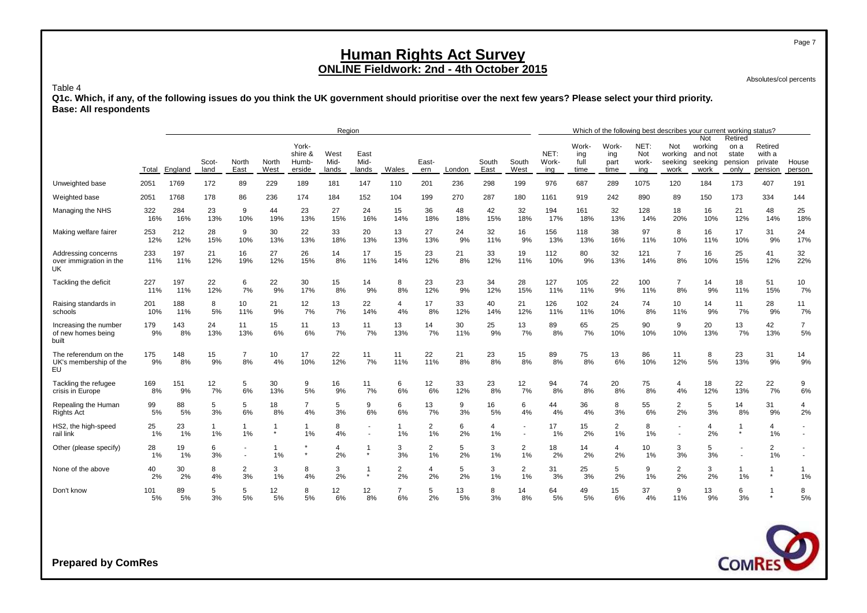Absolutes/col percents

#### Table 4

**Q1c. Which, if any, of the following issues do you think the UK government should prioritise over the next few years? Please select your third priority. Base: All respondents**

|                                                       |            |            |                    |                        |                         |                                     | Region                |                       |                      |                      |           |               |                      |                      |                              |                              |                             | Which of the following best describes your current working status? |                                              |                                             |                                         |                               |
|-------------------------------------------------------|------------|------------|--------------------|------------------------|-------------------------|-------------------------------------|-----------------------|-----------------------|----------------------|----------------------|-----------|---------------|----------------------|----------------------|------------------------------|------------------------------|-----------------------------|--------------------------------------------------------------------|----------------------------------------------|---------------------------------------------|-----------------------------------------|-------------------------------|
|                                                       | Total      | England    | Scot-<br>land      | North<br>East          | North<br>West           | York-<br>shire &<br>Humb-<br>erside | West<br>Mid-<br>lands | East<br>Mid-<br>lands | Wales                | East-<br>ern         | London    | South<br>East | South<br>West        | NET:<br>Work-<br>ing | Work-<br>ing<br>full<br>time | Work-<br>ing<br>part<br>time | NET:<br>Not<br>work-<br>ing | Not<br>working<br>seeking<br>work                                  | Not<br>working<br>and not<br>seeking<br>work | Retired<br>on a<br>state<br>pension<br>only | Retired<br>with a<br>private<br>pension | House<br>person               |
| Unweighted base                                       | 2051       | 1769       | 172                | 89                     | 229                     | 189                                 | 181                   | 147                   | 110                  | 201                  | 236       | 298           | 199                  | 976                  | 687                          | 289                          | 1075                        | 120                                                                | 184                                          | 173                                         | 407                                     | 191                           |
| Weighted base                                         | 2051       | 1768       | 178                | 86                     | 236                     | 174                                 | 184                   | 152                   | 104                  | 199                  | 270       | 287           | 180                  | 1161                 | 919                          | 242                          | 890                         | 89                                                                 | 150                                          | 173                                         | 334                                     | 144                           |
| Managing the NHS                                      | 322<br>16% | 284<br>16% | 23<br>13%          | 9<br>10%               | 44<br>19%               | 23<br>13%                           | 27<br>15%             | 24<br>16%             | 15<br>14%            | 36<br>18%            | 48<br>18% | 42<br>15%     | 32<br>18%            | 194<br>17%           | 161<br>18%                   | 32<br>13%                    | 128<br>14%                  | 18<br>20%                                                          | 16<br>10%                                    | 21<br>12%                                   | 48<br>14%                               | 25<br>18%                     |
| Making welfare fairer                                 | 253<br>12% | 212<br>12% | 28<br>15%          | 9<br>10%               | 30<br>13%               | 22<br>13%                           | 33<br>18%             | 20<br>13%             | 13<br>13%            | 27<br>13%            | 24<br>9%  | 32<br>11%     | 16<br>9%             | 156<br>13%           | 118<br>13%                   | 38<br>16%                    | 97<br>11%                   | 8<br>10%                                                           | 16<br>11%                                    | 17<br>10%                                   | 31<br>9%                                | 24<br>17%                     |
| Addressing concerns<br>over immigration in the<br>UK. | 233<br>11% | 197<br>11% | 21<br>12%          | 16<br>19%              | 27<br>12%               | 26<br>15%                           | 14<br>8%              | 17<br>11%             | 15<br>14%            | 23<br>12%            | 21<br>8%  | 33<br>12%     | 19<br>11%            | 112<br>10%           | 80<br>9%                     | 32<br>13%                    | 121<br>14%                  | $\overline{7}$<br>8%                                               | 16<br>10%                                    | 25<br>15%                                   | 41<br>12%                               | 32<br>22%                     |
| Tackling the deficit                                  | 227<br>11% | 197<br>11% | 22<br>12%          | 6<br>7%                | 22<br>9%                | 30<br>17%                           | 15<br>8%              | 14<br>9%              | 8<br>8%              | 23<br>12%            | 23<br>9%  | 34<br>12%     | 28<br>15%            | 127<br>11%           | 105<br>11%                   | 22<br>9%                     | 100<br>11%                  | $\overline{7}$<br>8%                                               | 14<br>9%                                     | 18<br>11%                                   | 51<br>15%                               | 10<br>7%                      |
| Raising standards in<br>schools                       | 201<br>10% | 188<br>11% | 8<br>5%            | 10 <sup>1</sup><br>11% | 21<br>9%                | 12<br>7%                            | 13<br>7%              | 22<br>14%             | 4<br>4%              | 17<br>8%             | 33<br>12% | 40<br>14%     | 21<br>12%            | 126<br>11%           | 102<br>11%                   | 24<br>10%                    | 74<br>8%                    | 10<br>11%                                                          | 14<br>9%                                     | 11<br>7%                                    | 28<br>9%                                | 11<br>7%                      |
| Increasing the number<br>of new homes being<br>built  | 179<br>9%  | 143<br>8%  | 24<br>13%          | 11<br>13%              | 15<br>6%                | 11<br>6%                            | 13<br>7%              | 11<br>7%              | 13<br>13%            | 14<br>7%             | 30<br>11% | 25<br>9%      | 13<br>7%             | 89<br>8%             | 65<br>7%                     | 25<br>10%                    | 90<br>10%                   | 9<br>10%                                                           | 20<br>13%                                    | 13<br>7%                                    | 42<br>13%                               | $\overline{7}$<br>5%          |
| The referendum on the<br>UK's membership of the<br>EU | 175<br>9%  | 148<br>8%  | 15<br>9%           | $\overline{7}$<br>8%   | 10<br>4%                | 17<br>10%                           | 22<br>12%             | 11<br>7%              | 11<br>11%            | 22<br>11%            | 21<br>8%  | 23<br>8%      | 15<br>8%             | 89<br>8%             | 75<br>8%                     | 13<br>6%                     | 86<br>10%                   | 11<br>12%                                                          | 8<br>5%                                      | 23<br>13%                                   | 31<br>9%                                | 14<br>9%                      |
| Tackling the refugee<br>crisis in Europe              | 169<br>8%  | 151<br>9%  | 12<br>7%           | 5<br>6%                | 30<br>13%               | 9<br>5%                             | 16<br>9%              | 11<br>7%              | 6<br>6%              | 12<br>6%             | 33<br>12% | 23<br>8%      | 12<br>7%             | 94<br>8%             | 74<br>8%                     | 20<br>8%                     | 75<br>8%                    | 4<br>4%                                                            | 18<br>12%                                    | 22<br>13%                                   | 22<br>7%                                | 9<br>6%                       |
| Repealing the Human<br>Rights Act                     | 99<br>5%   | 88<br>5%   | 5<br>3%            | 5<br>6%                | 18<br>8%                | $\overline{7}$<br>4%                | 5<br>3%               | 9<br>6%               | 6<br>6%              | 13<br>7%             | 9<br>3%   | 16<br>5%      | 6<br>4%              | 44<br>4%             | 36<br>4%                     | 8<br>3%                      | 55<br>6%                    | $\overline{2}$<br>2%                                               | 5<br>3%                                      | 14<br>8%                                    | 31<br>9%                                | $\overline{\mathbf{4}}$<br>2% |
| HS2, the high-speed<br>rail link                      | 25<br>1%   | 23<br>1%   | $\mathbf{1}$<br>1% | $\mathbf{1}$<br>1%     | $\mathbf{1}$<br>$\star$ | -1<br>1%                            | 8<br>4%               |                       | $\mathbf{1}$<br>1%   | $\overline{2}$<br>1% | 6<br>2%   | 4<br>1%       | $\blacksquare$<br>٠  | 17<br>1%             | 15<br>2%                     | $\overline{2}$<br>1%         | 8<br>1%                     |                                                                    | 4<br>2%                                      | -1<br>$\star$                               | $\overline{4}$<br>1%                    |                               |
| Other (please specify)                                | 28<br>1%   | 19<br>1%   | 6<br>3%            |                        | $\overline{1}$<br>1%    |                                     | $\overline{4}$<br>2%  |                       | 3<br>3%              | $\overline{2}$<br>1% | 5<br>2%   | 3<br>1%       | $\overline{2}$<br>1% | 18<br>2%             | 14<br>2%                     | 4<br>2%                      | 10<br>1%                    | 3<br>3%                                                            | 5<br>3%                                      | ٠                                           | $\overline{2}$<br>1%                    |                               |
| None of the above                                     | 40<br>2%   | 30<br>2%   | 8<br>4%            | 2<br>3%                | 3<br>1%                 | 8<br>4%                             | 3<br>2%               | $\star$               | $\overline{2}$<br>2% | 4<br>2%              | 5<br>2%   | 3<br>1%       | $\overline{2}$<br>1% | 31<br>3%             | 25<br>3%                     | 5<br>2%                      | 9<br>1%                     | $\overline{2}$<br>2%                                               | 3<br>2%                                      | $\mathbf 1$<br>1%                           | -1<br>$\star$                           | -1<br>1%                      |
| Don't know                                            | 101<br>5%  | 89<br>5%   | 5<br>3%            | 5<br>5%                | 12<br>5%                | 8<br>5%                             | 12<br>6%              | 12<br>8%              | $\overline{7}$<br>6% | 5<br>2%              | 13<br>5%  | 8<br>3%       | 14<br>8%             | 64<br>5%             | 49<br>5%                     | 15<br>6%                     | 37<br>4%                    | 9<br>11%                                                           | 13<br>9%                                     | 6<br>3%                                     |                                         | 8<br>5%                       |



**Prepared by ComRes**

Page 7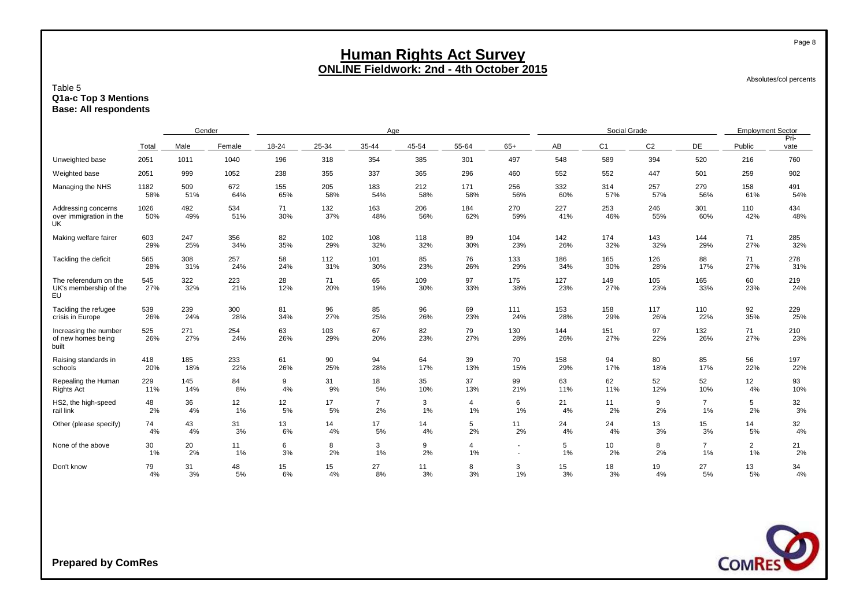Absolutes/col percents

Page 8

#### Table 5 **Q1a-c Top 3 Mentions Base: All respondents**

|                                                              |             | Gender     |            |           |            | Age            |            |                |            |            | Social Grade          |                |                      | <b>Employment Sector</b> |              |
|--------------------------------------------------------------|-------------|------------|------------|-----------|------------|----------------|------------|----------------|------------|------------|-----------------------|----------------|----------------------|--------------------------|--------------|
|                                                              | Total       | Male       | Female     |           | 25-34      | 35-44          | 45-54      | 55-64          | $65+$      | AB         | C <sub>1</sub>        | C <sub>2</sub> | DE                   | Public                   | Pri-<br>vate |
| Unweighted base                                              | 2051        | 1011       | 1040       | 196       | 318        | 354            | 385        | 301            | 497        | 548        | 589                   | 394            | 520                  | 216                      | 760          |
| Weighted base                                                | 2051        | 999        | 1052       | 238       | 355        | 337            | 365        | 296            | 460        | 552        | 552                   | 447            | 501                  | 259                      | 902          |
| Managing the NHS                                             | 1182        | 509        | 672        | 155       | 205        | 183            | 212        | 171            | 256        | 332        | 314                   | 257            | 279                  | 158                      | 491          |
|                                                              | 58%         | 51%        | 64%        | 65%       | 58%        | 54%            | 58%        | 58%            | 56%        | 60%        | 57%                   | 57%            | 56%                  | 61%                      | 54%          |
| Addressing concerns<br>over immigration in the<br>UK         | 1026<br>50% | 492<br>49% | 534<br>51% | 71<br>30% | 132<br>37% | 163<br>48%     | 206<br>56% | 184<br>62%     | 270<br>59% | 227<br>41% | 253<br>46%            | 246<br>55%     | 301<br>60%           | 110<br>42%               | 434<br>48%   |
| Making welfare fairer                                        | 603         | 247        | 356        | 82        | 102        | 108            | 118        | 89             | 104        | 142        | 174                   | 143            | 144                  | 71                       | 285          |
|                                                              | 29%         | 25%        | 34%        | 35%       | 29%        | 32%            | 32%        | 30%            | 23%        | 26%        | 32%                   | 32%            | 29%                  | 27%                      | 32%          |
| Tackling the deficit                                         | 565         | 308        | 257        | 58        | 112        | 101            | 85         | 76             | 133        | 186        | 165                   | 126            | 88                   | 71                       | 278          |
|                                                              | 28%         | 31%        | 24%        | 24%       | 31%        | 30%            | 23%        | 26%            | 29%        | 34%        | 30%                   | 28%            | 17%                  | 27%                      | 31%          |
| The referendum on the<br>UK's membership of the<br><b>EU</b> | 545<br>27%  | 322<br>32% | 223<br>21% | 28<br>12% | 71<br>20%  | 65<br>19%      | 109<br>30% | 97<br>33%      | 175<br>38% | 127<br>23% | 149<br>27%            | 105<br>23%     | 165<br>33%           | 60<br>23%                | 219<br>24%   |
| Tackling the refugee                                         | 539         | 239        | 300        | 81        | 96         | 85             | 96         | 69             | 111        | 153        | 158                   | 117            | 110                  | 92                       | 229          |
| crisis in Europe                                             | 26%         | 24%        | 28%        | 34%       | 27%        | 25%            | 26%        | 23%            | 24%        | 28%        | 29%                   | 26%            | 22%                  | 35%                      | 25%          |
| Increasing the number<br>of new homes being<br>built         | 525<br>26%  | 271<br>27% | 254<br>24% | 63<br>26% | 103<br>29% | 67<br>20%      | 82<br>23%  | 79<br>27%      | 130<br>28% | 144<br>26% | 151<br>27%            | 97<br>22%      | 132<br>26%           | 71<br>27%                | 210<br>23%   |
| Raising standards in                                         | 418         | 185        | 233        | 61        | 90         | 94             | 64         | 39             | 70         | 158        | 94                    | 80             | 85                   | 56                       | 197          |
| schools                                                      | 20%         | 18%        | 22%        | 26%       | 25%        | 28%            | 17%        | 13%            | 15%        | 29%        | 17%                   | 18%            | 17%                  | 22%                      | 22%          |
| Repealing the Human                                          | 229         | 145        | 84         | 9         | 31         | 18             | 35         | 37             | 99         | 63         | 62                    | 52             | 52                   | 12                       | 93           |
| <b>Rights Act</b>                                            | 11%         | 14%        | 8%         | 4%        | 9%         | 5%             | 10%        | 13%            | 21%        | 11%        | 11%                   | 12%            | 10%                  | 4%                       | 10%          |
| HS2, the high-speed                                          | 48          | 36         | 12         | 12        | 17         | $\overline{7}$ | 3          | $\overline{4}$ | 6          | 21         | 11                    | 9              | $\overline{7}$       | 5                        | 32<br>3%     |
| rail link                                                    | 2%          | 4%         | 1%         | 5%        | 5%         | 2%             | 1%         | 1%             | 1%         | 4%         | 2%                    | 2%             | 1%                   | 2%                       |              |
| Other (please specify)                                       | 74          | 43         | 31         | 13        | 14         | 17             | 14         | 5              | 11         | 24         | 24                    | 13             | 15                   | 14                       | 32           |
|                                                              | 4%          | 4%         | 3%         | 6%        | 4%         | 5%             | 4%         | 2%             | 2%         | 4%         | 4%                    | 3%             | 3%                   | 5%                       | 4%           |
| None of the above                                            | 30<br>1%    | 20<br>2%   | 11<br>1%   | 6<br>3%   | 8<br>2%    | 3<br>1%        | 9<br>2%    | 4<br>1%        | ٠          | 5<br>1%    | 10 <sup>1</sup><br>2% | 8<br>2%        | $\overline{7}$<br>1% | $\overline{2}$<br>1%     | 21<br>2%     |
| Don't know                                                   | 79          | 31         | 48         | 15        | 15         | 27             | 11         | 8              | 3          | 15         | 18                    | 19             | 27                   | 13                       | 34           |
|                                                              | 4%          | 3%         | 5%         | 6%        | 4%         | 8%             | 3%         | 3%             | 1%         | 3%         | 3%                    | 4%             | 5%                   | 5%                       | 4%           |

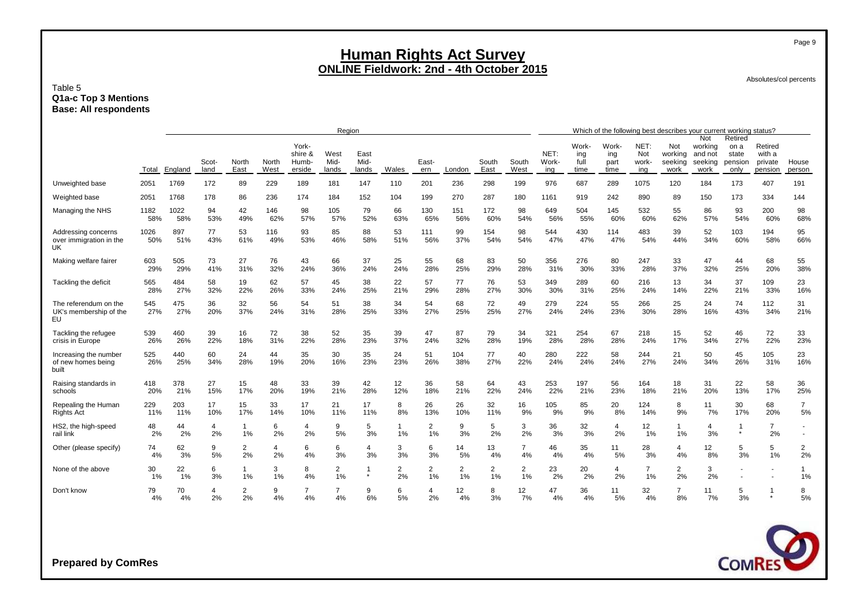#### Absolutes/col percents

#### Table 5 **Q1a-c Top 3 Mentions Base: All respondents**

|                                                       |             |             |           |                    |                      |                           | Region       |              |                      |                      |                      |            |                      |               |                      |                      |                      | Which of the following best describes your current working status? |                                      |                                     |                              |                      |
|-------------------------------------------------------|-------------|-------------|-----------|--------------------|----------------------|---------------------------|--------------|--------------|----------------------|----------------------|----------------------|------------|----------------------|---------------|----------------------|----------------------|----------------------|--------------------------------------------------------------------|--------------------------------------|-------------------------------------|------------------------------|----------------------|
|                                                       |             |             | Scot-     | North              | North                | York-<br>shire &<br>Humb- | West<br>Mid- | East<br>Mid- |                      | East-                |                      | South      | South                | NET:<br>Work- | Work-<br>ing<br>full | Work-<br>ing<br>part | NET:<br>Not<br>work- | Not<br>working<br>seeking                                          | Not<br>working<br>and not<br>seeking | Retired<br>on a<br>state<br>pension | Retired<br>with a<br>private | House                |
|                                                       | Total       | England     | land      | East               | West                 | erside                    | lands        | lands        | Wales                | ern                  | London               | East       | West                 | ina           | time                 | time                 | ina                  | work                                                               | work                                 | only                                | pension                      | person               |
| Unweighted base                                       | 2051        | 1769        | 172       | 89                 | 229                  | 189                       | 181          | 147          | 110                  | 201                  | 236                  | 298        | 199                  | 976           | 687                  | 289                  | 1075                 | 120                                                                | 184                                  | 173                                 | 407                          | 191                  |
| Weighted base                                         | 2051        | 1768        | 178       | 86                 | 236                  | 174                       | 184          | 152          | 104                  | 199                  | 270                  | 287        | 180                  | 1161          | 919                  | 242                  | 890                  | 89                                                                 | 150                                  | 173                                 | 334                          | 144                  |
| Managing the NHS                                      | 1182<br>58% | 1022<br>58% | 94<br>53% | 42<br>49%          | 146<br>62%           | 98<br>57%                 | 105<br>57%   | 79<br>52%    | 66<br>63%            | 130<br>65%           | 151<br>56%           | 172<br>60% | 98<br>54%            | 649<br>56%    | 504<br>55%           | 145<br>60%           | 532<br>60%           | 55<br>62%                                                          | 86<br>57%                            | 93<br>54%                           | 200<br>60%                   | 98<br>68%            |
| Addressing concerns<br>over immigration in the<br>UK  | 1026<br>50% | 897<br>51%  | 77<br>43% | 53<br>61%          | 116<br>49%           | 93<br>53%                 | 85<br>46%    | 88<br>58%    | 53<br>51%            | 111<br>56%           | 99<br>37%            | 154<br>54% | 98<br>54%            | 544<br>47%    | 430<br>47%           | 114<br>47%           | 483<br>54%           | 39<br>44%                                                          | 52<br>34%                            | 103<br>60%                          | 194<br>58%                   | 95<br>66%            |
| Making welfare fairer                                 | 603<br>29%  | 505<br>29%  | 73<br>41% | 27<br>31%          | 76<br>32%            | 43<br>24%                 | 66<br>36%    | 37<br>24%    | 25<br>24%            | 55<br>28%            | 68<br>25%            | 83<br>29%  | 50<br>28%            | 356<br>31%    | 276<br>30%           | 80<br>33%            | 247<br>28%           | 33<br>37%                                                          | 47<br>32%                            | 44<br>25%                           | 68<br>20%                    | 55<br>38%            |
| Tackling the deficit                                  | 565<br>28%  | 484<br>27%  | 58<br>32% | 19<br>22%          | 62<br>26%            | 57<br>33%                 | 45<br>24%    | 38<br>25%    | 22<br>21%            | 57<br>29%            | 77<br>28%            | 76<br>27%  | 53<br>30%            | 349<br>30%    | 289<br>31%           | 60<br>25%            | 216<br>24%           | 13<br>14%                                                          | 34<br>22%                            | 37<br>21%                           | 109<br>33%                   | 23<br>16%            |
| The referendum on the<br>UK's membership of the<br>EU | 545<br>27%  | 475<br>27%  | 36<br>20% | 32<br>37%          | 56<br>24%            | 54<br>31%                 | 51<br>28%    | 38<br>25%    | 34<br>33%            | 54<br>27%            | 68<br>25%            | 72<br>25%  | 49<br>27%            | 279<br>24%    | 224<br>24%           | 55<br>23%            | 266<br>30%           | 25<br>28%                                                          | 24<br>16%                            | 74<br>43%                           | 112<br>34%                   | 31<br>21%            |
| Tackling the refugee<br>crisis in Europe              | 539<br>26%  | 460<br>26%  | 39<br>22% | 16<br>18%          | 72<br>31%            | 38<br>22%                 | 52<br>28%    | 35<br>23%    | 39<br>37%            | 47<br>24%            | 87<br>32%            | 79<br>28%  | 34<br>19%            | 321<br>28%    | 254<br>28%           | 67<br>28%            | 218<br>24%           | 15<br>17%                                                          | 52<br>34%                            | 46<br>27%                           | 72<br>22%                    | 33<br>23%            |
| Increasing the number<br>of new homes being<br>built  | 525<br>26%  | 440<br>25%  | 60<br>34% | 24<br>28%          | 44<br>19%            | 35<br>20%                 | 30<br>16%    | 35<br>23%    | 24<br>23%            | 51<br>26%            | 104<br>38%           | 77<br>27%  | 40<br>22%            | 280<br>24%    | 222<br>24%           | 58<br>24%            | 244<br>27%           | 21<br>24%                                                          | 50<br>34%                            | 45<br>26%                           | 105<br>31%                   | 23<br>16%            |
| Raising standards in<br>schools                       | 418<br>20%  | 378<br>21%  | 27<br>15% | 15<br>17%          | 48<br>20%            | 33<br>19%                 | 39<br>21%    | 42<br>28%    | 12<br>12%            | 36<br>18%            | 58<br>21%            | 64<br>22%  | 43<br>24%            | 253<br>22%    | 197<br>21%           | 56<br>23%            | 164<br>18%           | 18<br>21%                                                          | 31<br>20%                            | 22<br>13%                           | 58<br>17%                    | 36<br>25%            |
| Repealing the Human<br>Rights Act                     | 229<br>11%  | 203<br>11%  | 17<br>10% | 15<br>17%          | 33<br>14%            | 17<br>10%                 | 21<br>11%    | 17<br>11%    | 8<br>8%              | 26<br>13%            | 26<br>10%            | 32<br>11%  | 16<br>9%             | 105<br>9%     | 85<br>9%             | 20<br>8%             | 124<br>14%           | 8<br>9%                                                            | 11<br>7%                             | 30<br>17%                           | 68<br>20%                    | $\overline{7}$<br>5% |
| HS2, the high-speed<br>rail link                      | 48<br>2%    | 44<br>2%    | 4<br>2%   | $\mathbf{1}$<br>1% | 6<br>2%              | 4<br>2%                   | 9<br>5%      | 5<br>3%      | 1<br>1%              | 2<br>1%              | 9<br>3%              | 5<br>2%    | 3<br>2%              | 36<br>3%      | 32<br>3%             | 4<br>2%              | 12<br>1%             | 1%                                                                 | 4<br>3%                              | $\star$                             | $\overline{7}$<br>2%         | $\sim$               |
| Other (please specify)                                | 74<br>4%    | 62<br>3%    | 9<br>5%   | 2<br>2%            | $\overline{4}$<br>2% | 6<br>4%                   | 6<br>3%      | 4<br>3%      | 3<br>3%              | 6<br>3%              | 14<br>5%             | 13<br>4%   | $\overline{7}$<br>4% | 46<br>4%      | 35<br>4%             | 11<br>5%             | 28<br>3%             | $\overline{4}$<br>4%                                               | 12<br>8%                             | 5<br>3%                             | 5<br>1%                      | 2<br>2%              |
| None of the above                                     | 30<br>1%    | 22<br>1%    | 6<br>3%   | $\mathbf{1}$<br>1% | 3<br>1%              | 8<br>4%                   | 2<br>1%      |              | $\overline{2}$<br>2% | $\overline{2}$<br>1% | $\overline{2}$<br>1% | 2<br>1%    | $\overline{2}$<br>1% | 23<br>2%      | 20<br>2%             | $\overline{4}$<br>2% | $\overline{7}$<br>1% | $\overline{2}$<br>2%                                               | 3<br>2%                              |                                     |                              | 1<br>1%              |
| Don't know                                            | 79<br>4%    | 70<br>4%    | 4<br>2%   | 2<br>2%            | 9<br>4%              | 7<br>4%                   | 7<br>4%      | 9<br>6%      | 6<br>5%              | 2%                   | 12<br>4%             | 8<br>3%    | 12<br>7%             | 47<br>4%      | 36<br>4%             | 11<br>5%             | 32<br>4%             | $\overline{7}$<br>8%                                               | 11<br>7%                             | 5<br>3%                             | 1<br>$\star$                 | 8<br>5%              |



**Prepared by ComRes**

Page 9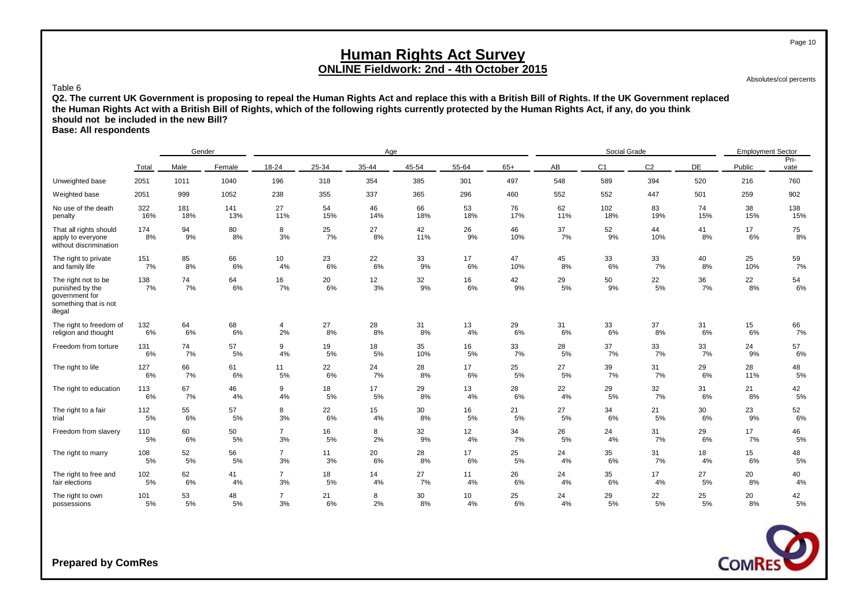Absolutes/col percents

Page 10

#### Table 6

**Q2. The current UK Government is proposing to repeal the Human Rights Act and replace this with a British Bill of Rights. If the UK Government replaced the Human Rights Act with a British Bill of Rights, which of the following rights currently protected by the Human Rights Act, if any, do you think should not be included in the new Bill?**

**Base: All respondents**

|                                                                                              |           | Gender   |          |                |          | Age      |           |          |           |          | Social Grade   |                |          | <b>Employment Sector</b> |              |
|----------------------------------------------------------------------------------------------|-----------|----------|----------|----------------|----------|----------|-----------|----------|-----------|----------|----------------|----------------|----------|--------------------------|--------------|
|                                                                                              | Total     | Male     | Female   | 18-24          | 25-34    | 35-44    | 45-54     | 55-64    | $65+$     | AB       | C <sub>1</sub> | C <sub>2</sub> | DE       | Public                   | Pri-<br>vate |
| Unweighted base                                                                              | 2051      | 1011     | 1040     | 196            | 318      | 354      | 385       | 301      | 497       | 548      | 589            | 394            | 520      | 216                      | 760          |
| Weighted base                                                                                | 2051      | 999      | 1052     | 238            | 355      | 337      | 365       | 296      | 460       | 552      | 552            | 447            | 501      | 259                      | 902          |
| No use of the death                                                                          | 322       | 181      | 141      | 27             | 54       | 46       | 66        | 53       | 76        | 62       | 102            | 83             | 74       | 38                       | 138          |
| penalty                                                                                      | 16%       | 18%      | 13%      | 11%            | 15%      | 14%      | 18%       | 18%      | 17%       | 11%      | 18%            | 19%            | 15%      | 15%                      | 15%          |
| That all rights should<br>apply to everyone<br>without discrimination                        | 174<br>8% | 94<br>9% | 80<br>8% | 8<br>3%        | 25<br>7% | 27<br>8% | 42<br>11% | 26<br>9% | 46<br>10% | 37<br>7% | 52<br>9%       | 44<br>10%      | 41<br>8% | 17<br>6%                 | 75<br>8%     |
| The right to private                                                                         | 151       | 85       | 66       | 10             | 23       | 22       | 33        | 17       | 47        | 45       | 33             | 33             | 40       | 25                       | 59           |
| and family life                                                                              | 7%        | 8%       | 6%       | 4%             | 6%       | 6%       | 9%        | 6%       | 10%       | 8%       | 6%             | 7%             | 8%       | 10%                      | 7%           |
| The right not to be<br>punished by the<br>government for<br>something that is not<br>illegal | 138<br>7% | 74<br>7% | 64<br>6% | 16<br>7%       | 20<br>6% | 12<br>3% | 32<br>9%  | 16<br>6% | 42<br>9%  | 29<br>5% | 50<br>9%       | 22<br>5%       | 36<br>7% | 22<br>8%                 | 54<br>6%     |
| The right to freedom of                                                                      | 132       | 64       | 68       | 4              | 27       | 28       | 31        | 13       | 29        | 31       | 33             | 37             | 31       | 15                       | 66<br>7%     |
| religion and thought                                                                         | 6%        | 6%       | 6%       | 2%             | 8%       | 8%       | 8%        | 4%       | 6%        | 6%       | 6%             | 8%             | 6%       | 6%                       |              |
| Freedom from torture                                                                         | 131       | 74       | 57       | 9              | 19       | 18       | 35        | 16       | 33        | 28       | 37             | 33             | 33       | 24                       | 57           |
|                                                                                              | 6%        | 7%       | 5%       | 4%             | 5%       | 5%       | 10%       | 5%       | 7%        | 5%       | 7%             | 7%             | 7%       | 9%                       | 6%           |
| The right to life                                                                            | 127       | 66       | 61       | 11             | 22       | 24       | 28        | 17       | 25        | 27       | 39             | 31             | 29       | 28                       | 48           |
|                                                                                              | 6%        | 7%       | 6%       | 5%             | 6%       | 7%       | 8%        | 6%       | 5%        | 5%       | 7%             | 7%             | 6%       | 11%                      | 5%           |
| The right to education                                                                       | 113       | 67       | 46       | 9              | 18       | 17       | 29        | 13       | 28        | 22       | 29             | 32             | 31       | 21                       | 42           |
|                                                                                              | 6%        | 7%       | 4%       | 4%             | 5%       | 5%       | 8%        | 4%       | 6%        | 4%       | 5%             | 7%             | 6%       | 8%                       | $5\%$        |
| The right to a fair                                                                          | 112       | 55       | 57       | 8              | 22       | 15       | 30        | 16       | 21        | 27       | 34             | 21             | 30       | 23                       | 52           |
| trial                                                                                        | 5%        | 6%       | 5%       | 3%             | 6%       | 4%       | 8%        | 5%       | 5%        | 5%       | 6%             | 5%             | 6%       | 9%                       | 6%           |
| Freedom from slavery                                                                         | 110       | 60       | 50       | $\overline{7}$ | 16       | 8        | 32        | 12       | 34        | 26       | 24             | 31             | 29       | 17                       | 46           |
|                                                                                              | 5%        | 6%       | 5%       | 3%             | 5%       | 2%       | 9%        | 4%       | 7%        | 5%       | 4%             | 7%             | 6%       | 7%                       | 5%           |
| The right to marry                                                                           | 108       | 52       | 56       | $\overline{7}$ | 11       | 20       | 28        | 17       | 25        | 24       | 35             | 31             | 18       | 15                       | 48           |
|                                                                                              | 5%        | 5%       | 5%       | 3%             | 3%       | 6%       | 8%        | 6%       | 5%        | 4%       | 6%             | 7%             | 4%       | 6%                       | 5%           |
| The right to free and                                                                        | 102       | 62       | 41       | $\overline{7}$ | 18       | 14       | 27        | 11       | 26        | 24       | 35             | 17             | 27       | 20                       | 40           |
| fair elections                                                                               | 5%        | 6%       | 4%       | 3%             | 5%       | 4%       | 7%        | 4%       | 6%        | 4%       | 6%             | 4%             | 5%       | 8%                       | 4%           |
| The right to own                                                                             | 101       | 53       | 48       | $\overline{7}$ | 21       | 8        | 30        | 10       | 25        | 24       | 29             | 22             | 25       | 20                       | 42           |
| possessions                                                                                  | 5%        | 5%       | 5%       | 3%             | 6%       | 2%       | 8%        | 4%       | 6%        | 4%       | 5%             | 5%             | 5%       | 8%                       | 5%           |

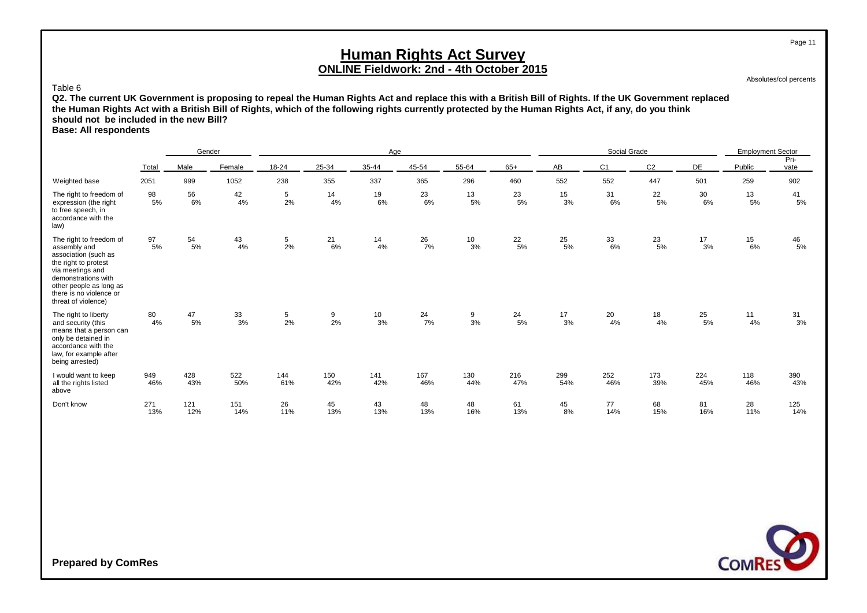Absolutes/col percents

Page 11

#### Table 6

**Q2. The current UK Government is proposing to repeal the Human Rights Act and replace this with a British Bill of Rights. If the UK Government replaced the Human Rights Act with a British Bill of Rights, which of the following rights currently protected by the Human Rights Act, if any, do you think should not be included in the new Bill?**

**Base: All respondents**

|                                                                                                                                                                                                                 |            | Gender     |            |                 |                 | Age        |            |                                          |                  |            | Social Grade   |                |            | <b>Employment Sector</b> |                  |
|-----------------------------------------------------------------------------------------------------------------------------------------------------------------------------------------------------------------|------------|------------|------------|-----------------|-----------------|------------|------------|------------------------------------------|------------------|------------|----------------|----------------|------------|--------------------------|------------------|
|                                                                                                                                                                                                                 | Total      | Male       | Female     | 18-24           | 25-34           | $35 - 44$  | 45-54      | 55-64                                    | $65+$            | AB         | C <sub>1</sub> | C <sub>2</sub> | DE         | Public                   | Pri-<br>vate     |
| Weighted base                                                                                                                                                                                                   | 2051       | 999        | 1052       | 238             | 355             | 337        | 365        | 296                                      | 460              | 552        | 552            | 447            | 501        | 259                      | 902              |
| The right to freedom of<br>expression (the right<br>to free speech, in<br>accordance with the<br>law)                                                                                                           | 98<br>5%   | 56<br>6%   | 42<br>4%   | 5<br>2%         | 14<br>4%        | 19<br>6%   | 23<br>6%   | $\begin{array}{c} 13 \\ 5\% \end{array}$ | 23<br>5%         | 15<br>3%   | 31<br>6%       | 22<br>5%       | 30<br>6%   | 13<br>5%                 | 41<br>5%         |
| The right to freedom of<br>assembly and<br>association (such as<br>the right to protest<br>via meetings and<br>demonstrations with<br>other people as long as<br>there is no violence or<br>threat of violence) | 97<br>5%   | 54<br>5%   | 43<br>4%   | 5<br>2%         | 21<br>6%        | 14<br>4%   | 26<br>7%   | 10<br>3%                                 | 22<br>5%         | 25<br>5%   | 33<br>6%       | 23<br>5%       | 17<br>3%   | 15<br>6%                 | $\frac{46}{5\%}$ |
| The right to liberty<br>and security (this<br>means that a person can<br>only be detained in<br>accordance with the<br>law, for example after<br>being arrested)                                                | 80<br>4%   | 47<br>5%   | 33<br>3%   | $\frac{5}{2\%}$ | $\frac{9}{2\%}$ | 10<br>3%   | 24<br>7%   | 9<br>3%                                  | $\frac{24}{5\%}$ | 17<br>3%   | 20<br>4%       | 18<br>4%       | 25<br>5%   | 11<br>4%                 | $\frac{31}{3\%}$ |
| I would want to keep<br>all the rights listed<br>above                                                                                                                                                          | 949<br>46% | 428<br>43% | 522<br>50% | 144<br>61%      | 150<br>42%      | 141<br>42% | 167<br>46% | 130<br>44%                               | 216<br>47%       | 299<br>54% | 252<br>46%     | 173<br>39%     | 224<br>45% | 118<br>46%               | 390<br>43%       |
| Don't know                                                                                                                                                                                                      | 271<br>13% | 121<br>12% | 151<br>14% | 26<br>11%       | 45<br>13%       | 43<br>13%  | 48<br>13%  | 48<br>16%                                | 61<br>13%        | 45<br>8%   | 77<br>14%      | 68<br>15%      | 81<br>16%  | 28<br>11%                | 125<br>14%       |

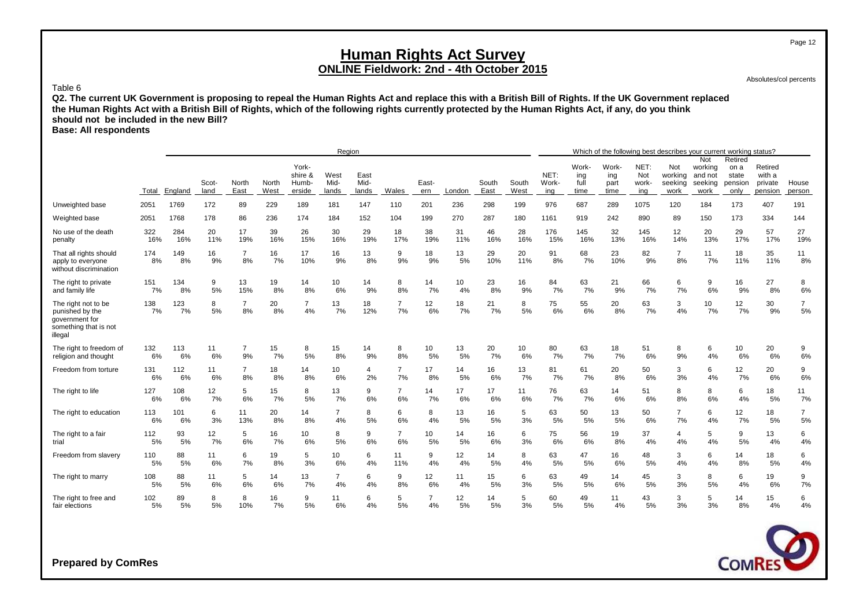Absolutes/col percents

Page 12

#### Table 6

**Q2. The current UK Government is proposing to repeal the Human Rights Act and replace this with a British Bill of Rights. If the UK Government replaced the Human Rights Act with a British Bill of Rights, which of the following rights currently protected by the Human Rights Act, if any, do you think should not be included in the new Bill?**

**Base: All respondents**

|                                                                                              |           |           |               |                      |               |                                     | Region                |                       |                      |                |          |               |               |                      |                              |                              |                             | Which of the following best describes your current working status? |                                              |                                             |                                         |                      |
|----------------------------------------------------------------------------------------------|-----------|-----------|---------------|----------------------|---------------|-------------------------------------|-----------------------|-----------------------|----------------------|----------------|----------|---------------|---------------|----------------------|------------------------------|------------------------------|-----------------------------|--------------------------------------------------------------------|----------------------------------------------|---------------------------------------------|-----------------------------------------|----------------------|
|                                                                                              | Total     | England   | Scot-<br>land | North<br>East        | North<br>West | York-<br>shire &<br>Humb-<br>erside | West<br>Mid-<br>lands | East<br>Mid-<br>lands | Wales                | East-<br>ern   | London   | South<br>East | South<br>West | NET:<br>Work-<br>ing | Work-<br>ing<br>full<br>time | Work-<br>ing<br>part<br>time | NET:<br>Not<br>work-<br>ing | Not<br>working<br>seeking<br>work                                  | Not<br>working<br>and not<br>seeking<br>work | Retired<br>on a<br>state<br>pension<br>only | Retired<br>with a<br>private<br>pension | House<br>person      |
| Unweighted base                                                                              | 2051      | 1769      | 172           | 89                   | 229           | 189                                 | 181                   | 147                   | 110                  | 201            | 236      | 298           | 199           | 976                  | 687                          | 289                          | 1075                        | 120                                                                | 184                                          | 173                                         | 407                                     | 191                  |
| Weighted base                                                                                | 2051      | 1768      | 178           | 86                   | 236           | 174                                 | 184                   | 152                   | 104                  | 199            | 270      | 287           | 180           | 1161                 | 919                          | 242                          | 890                         | 89                                                                 | 150                                          | 173                                         | 334                                     | 144                  |
| No use of the death                                                                          | 322       | 284       | 20            | 17                   | 39            | 26                                  | 30                    | 29                    | 18                   | 38             | 31       | 46            | 28            | 176                  | 145                          | 32                           | 145                         | 12                                                                 | 20                                           | 29                                          | 57                                      | 27                   |
| penalty                                                                                      | 16%       | 16%       | 11%           | 19%                  | 16%           | 15%                                 | 16%                   | 19%                   | 17%                  | 19%            | 11%      | 16%           | 16%           | 15%                  | 16%                          | 13%                          | 16%                         | 14%                                                                | 13%                                          | 17%                                         | 17%                                     | 19%                  |
| That all rights should<br>apply to everyone<br>without discrimination                        | 174<br>8% | 149<br>8% | 16<br>9%      | $\overline{7}$<br>8% | 16<br>7%      | 17<br>10%                           | 16<br>9%              | 13<br>8%              | 9<br>9%              | 18<br>9%       | 13<br>5% | 29<br>10%     | 20<br>11%     | 91<br>8%             | 68<br>7%                     | 23<br>10%                    | 82<br>9%                    | $\overline{7}$<br>8%                                               | 11<br>7%                                     | 18<br>11%                                   | 35<br>11%                               | 11<br>8%             |
| The right to private                                                                         | 151       | 134       | 9             | 13                   | 19            | 14                                  | 10                    | 14                    | 8                    | 14             | 10       | 23            | 16            | 84                   | 63                           | 21                           | 66                          | 6                                                                  | 9                                            | 16                                          | 27                                      | 8                    |
| and family life                                                                              | 7%        | 8%        | 5%            | 15%                  | 8%            | 8%                                  | 6%                    | 9%                    | 8%                   | 7%             | 4%       | 8%            | 9%            | 7%                   | 7%                           | 9%                           | 7%                          | 7%                                                                 | 6%                                           | 9%                                          | 8%                                      | 6%                   |
| The right not to be<br>punished by the<br>government for<br>something that is not<br>illegal | 138<br>7% | 123<br>7% | 8<br>5%       | $\overline{7}$<br>8% | 20<br>8%      | $\overline{7}$<br>4%                | 13<br>7%              | 18<br>12%             | $\overline{7}$<br>7% | 12<br>6%       | 18<br>7% | 21<br>7%      | 8<br>5%       | 75<br>6%             | 55<br>6%                     | 20<br>8%                     | 63<br>7%                    | 3<br>4%                                                            | 10<br>7%                                     | 12<br>7%                                    | 30<br>9%                                | $\overline{7}$<br>5% |
| The right to freedom of                                                                      | 132       | 113       | 11            | $\overline{7}$       | 15            | 8                                   | 15                    | 14                    | 8                    | 10             | 13       | 20            | 10            | 80                   | 63                           | 18                           | 51                          | 8                                                                  | 6                                            | 10                                          | 20                                      | 9                    |
| religion and thought                                                                         | 6%        | 6%        | 6%            | 9%                   | 7%            | 5%                                  | 8%                    | 9%                    | 8%                   | 5%             | 5%       | 7%            | 6%            | 7%                   | 7%                           | 7%                           | 6%                          | 9%                                                                 | 4%                                           | 6%                                          | 6%                                      | 6%                   |
| Freedom from torture                                                                         | 131       | 112       | 11            | $\overline{7}$       | 18            | 14                                  | 10                    | $\overline{4}$        | $\overline{7}$       | 17             | 14       | 16            | 13            | 81                   | 61                           | 20                           | 50                          | 3                                                                  | 6                                            | 12                                          | 20                                      | 9                    |
|                                                                                              | 6%        | 6%        | 6%            | 8%                   | 8%            | 8%                                  | 6%                    | 2%                    | 7%                   | 8%             | 5%       | 6%            | 7%            | 7%                   | 7%                           | 8%                           | 6%                          | 3%                                                                 | 4%                                           | 7%                                          | 6%                                      | 6%                   |
| The right to life                                                                            | 127       | 108       | 12            | 5                    | 15            | 8                                   | 13                    | 9                     | $\overline{7}$       | 14             | 17       | 17            | 11            | 76                   | 63                           | 14                           | 51                          | 8                                                                  | 8                                            | 6                                           | 18                                      | 11                   |
|                                                                                              | 6%        | 6%        | 7%            | 6%                   | 7%            | 5%                                  | 7%                    | 6%                    | 6%                   | 7%             | 6%       | 6%            | 6%            | 7%                   | 7%                           | 6%                           | 6%                          | 8%                                                                 | 6%                                           | 4%                                          | 5%                                      | 7%                   |
| The right to education                                                                       | 113       | 101       | 6             | 11                   | 20            | 14                                  | $\overline{7}$        | 8                     | 6                    | 8              | 13       | 16            | 5             | 63                   | 50                           | 13                           | 50                          | $\overline{7}$                                                     | 6                                            | 12                                          | 18                                      | $\overline{7}$       |
|                                                                                              | 6%        | 6%        | 3%            | 13%                  | 8%            | 8%                                  | 4%                    | 5%                    | 6%                   | 4%             | 5%       | 5%            | 3%            | 5%                   | 5%                           | 5%                           | 6%                          | 7%                                                                 | 4%                                           | 7%                                          | 5%                                      | 5%                   |
| The right to a fair                                                                          | 112       | 93        | 12            | 5                    | 16            | 10                                  | 8                     | 9                     | $\overline{7}$       | 10             | 14       | 16            | 6             | 75                   | 56                           | 19                           | 37                          | 4                                                                  | 5                                            | 9                                           | 13                                      | 6                    |
| trial                                                                                        | 5%        | 5%        | 7%            | 6%                   | 7%            | 6%                                  | 5%                    | 6%                    | 6%                   | 5%             | 5%       | 6%            | 3%            | 6%                   | 6%                           | 8%                           | 4%                          | 4%                                                                 | 4%                                           | 5%                                          | 4%                                      | 4%                   |
| Freedom from slavery                                                                         | 110       | 88        | 11            | 6                    | 19            | 5                                   | 10                    | 6                     | 11                   | 9              | 12       | 14            | 8             | 63                   | 47                           | 16                           | 48                          | 3                                                                  | 6                                            | 14                                          | 18                                      | 6                    |
|                                                                                              | 5%        | 5%        | 6%            | 7%                   | 8%            | 3%                                  | 6%                    | 4%                    | 11%                  | 4%             | 4%       | 5%            | 4%            | 5%                   | 5%                           | 6%                           | 5%                          | 4%                                                                 | 4%                                           | 8%                                          | 5%                                      | 4%                   |
| The right to marry                                                                           | 108       | 88        | 11            | 5                    | 14            | 13                                  | $\overline{7}$        | 6                     | 9                    | 12             | 11       | 15            | 6             | 63                   | 49                           | 14                           | 45                          | 3                                                                  | 8                                            | 6                                           | 19                                      | 9                    |
|                                                                                              | 5%        | 5%        | 6%            | 6%                   | 6%            | 7%                                  | 4%                    | 4%                    | 8%                   | 6%             | 4%       | 5%            | 3%            | 5%                   | 5%                           | 6%                           | 5%                          | 3%                                                                 | 5%                                           | 4%                                          | 6%                                      | 7%                   |
| The right to free and                                                                        | 102       | 89        | 8             | 8                    | 16            | 9                                   | 11                    | 6                     | 5                    | $\overline{7}$ | 12       | 14            | 5             | 60                   | 49                           | 11                           | 43                          | 3                                                                  | 5                                            | 14                                          | 15                                      | 6                    |
| fair elections                                                                               | 5%        | 5%        | 5%            | 10%                  | 7%            | 5%                                  | 6%                    | 4%                    | 5%                   | 4%             | 5%       | 5%            | 3%            | 5%                   | 5%                           | 4%                           | 5%                          | 3%                                                                 | 3%                                           | 8%                                          | 4%                                      | 4%                   |

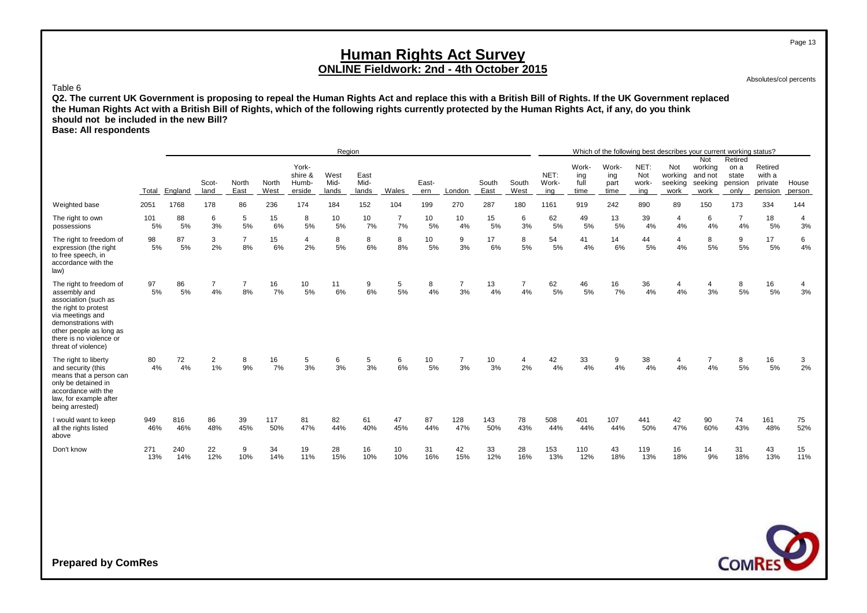Absolutes/col percents

Page 13

#### Table 6

**Q2. The current UK Government is proposing to repeal the Human Rights Act and replace this with a British Bill of Rights. If the UK Government replaced the Human Rights Act with a British Bill of Rights, which of the following rights currently protected by the Human Rights Act, if any, do you think should not be included in the new Bill?**

**Base: All respondents**

|                                                                                                                                                                                                                 |            |            |                      |                      |               |                                     | Region                |                       |                      |              |                      |               |                      |                      |                              |                              |                             | Which of the following best describes your current working status? |                                   |                                             |                                         |                 |
|-----------------------------------------------------------------------------------------------------------------------------------------------------------------------------------------------------------------|------------|------------|----------------------|----------------------|---------------|-------------------------------------|-----------------------|-----------------------|----------------------|--------------|----------------------|---------------|----------------------|----------------------|------------------------------|------------------------------|-----------------------------|--------------------------------------------------------------------|-----------------------------------|---------------------------------------------|-----------------------------------------|-----------------|
|                                                                                                                                                                                                                 | Total      | England    | Scot-<br>land        | North<br>East        | North<br>West | York-<br>shire &<br>Humb-<br>erside | West<br>Mid-<br>lands | East<br>Mid-<br>lands | Wales                | East-<br>ern | London               | South<br>East | South<br>West        | NET:<br>Work-<br>ing | Work-<br>ing<br>full<br>time | Work-<br>ing<br>part<br>time | NET:<br>Not<br>work-<br>ing | Not<br>working and not<br>seeking<br>work                          | Not<br>working<br>seeking<br>work | Retired<br>on a<br>state<br>pension<br>only | Retired<br>with a<br>private<br>pension | House<br>person |
| Weighted base                                                                                                                                                                                                   | 2051       | 1768       | 178                  | 86                   | 236           | 174                                 | 184                   | 152                   | 104                  | 199          | 270                  | 287           | 180                  | 1161                 | 919                          | 242                          | 890                         | 89                                                                 | 150                               | 173                                         | 334                                     | 144             |
| The right to own<br>possessions                                                                                                                                                                                 | 101<br>5%  | 88<br>5%   | 6<br>3%              | 5<br>5%              | 15<br>6%      | 8<br>5%                             | 10<br>5%              | 10<br>7%              | $\overline{7}$<br>7% | 10<br>5%     | 10<br>4%             | 15<br>5%      | 6<br>3%              | 62<br>5%             | 49<br>5%                     | 13<br>5%                     | 39<br>4%                    | 4<br>4%                                                            | 6<br>4%                           | $\overline{7}$<br>4%                        | 18<br>5%                                | 4<br>3%         |
| The right to freedom of<br>expression (the right<br>to free speech, in<br>accordance with the<br>law)                                                                                                           | 98<br>5%   | 87<br>5%   | 3<br>2%              | $\overline{7}$<br>8% | 15<br>6%      | 4<br>2%                             | 8<br>5%               | 8<br>6%               | 8<br>8%              | 10<br>5%     | 9<br>3%              | 17<br>6%      | 8<br>5%              | 54<br>5%             | 41<br>4%                     | 14<br>6%                     | 44<br>5%                    | 4<br>4%                                                            | 8<br>5%                           | 9<br>5%                                     | 17<br>5%                                | 6<br>4%         |
| The right to freedom of<br>assembly and<br>association (such as<br>the right to protest<br>via meetings and<br>demonstrations with<br>other people as long as<br>there is no violence or<br>threat of violence) | 97<br>5%   | 86<br>5%   | $\overline{7}$<br>4% | $\overline{7}$<br>8% | 16<br>7%      | 10<br>5%                            | 11<br>6%              | 9<br>6%               | 5<br>5%              | 8<br>4%      | $\overline{7}$<br>3% | 13<br>4%      | $\overline{7}$<br>4% | 62<br>5%             | 46<br>5%                     | 16<br>7%                     | 36<br>4%                    | 4<br>4%                                                            | 4<br>3%                           | 8<br>5%                                     | 16<br>5%                                | 4<br>3%         |
| The right to liberty<br>and security (this<br>means that a person can<br>only be detained in<br>accordance with the<br>law, for example after<br>being arrested)                                                | 80<br>4%   | 72<br>4%   | $\overline{2}$<br>1% | 8<br>9%              | 16<br>7%      | 5<br>3%                             | 6<br>3%               | 5<br>3%               | 6<br>6%              | 10<br>5%     | $\overline{7}$<br>3% | 10<br>3%      | $\overline{4}$<br>2% | 42<br>4%             | 33<br>4%                     | 9<br>4%                      | 38<br>4%                    | 4<br>4%                                                            | $\overline{7}$<br>4%              | 8<br>5%                                     | 16<br>5%                                | 3<br>2%         |
| I would want to keep<br>all the rights listed<br>above                                                                                                                                                          | 949<br>46% | 816<br>46% | 86<br>48%            | 39<br>45%            | 117<br>50%    | 81<br>47%                           | 82<br>44%             | 61<br>40%             | 47<br>45%            | 87<br>44%    | 128<br>47%           | 143<br>50%    | 78<br>43%            | 508<br>44%           | 401<br>44%                   | 107<br>44%                   | 441<br>50%                  | 42<br>47%                                                          | 90<br>60%                         | 74<br>43%                                   | 161<br>48%                              | 75<br>52%       |
| Don't know                                                                                                                                                                                                      | 271<br>13% | 240<br>14% | 22<br>12%            | 9<br>10%             | 34<br>14%     | 19<br>11%                           | 28<br>15%             | 16<br>10%             | 10<br>10%            | 31<br>16%    | 42<br>15%            | 33<br>12%     | 28<br>16%            | 153<br>13%           | 110<br>12%                   | 43<br>18%                    | 119<br>13%                  | 16<br>18%                                                          | 14<br>9%                          | 31<br>18%                                   | 43<br>13%                               | 15<br>11%       |

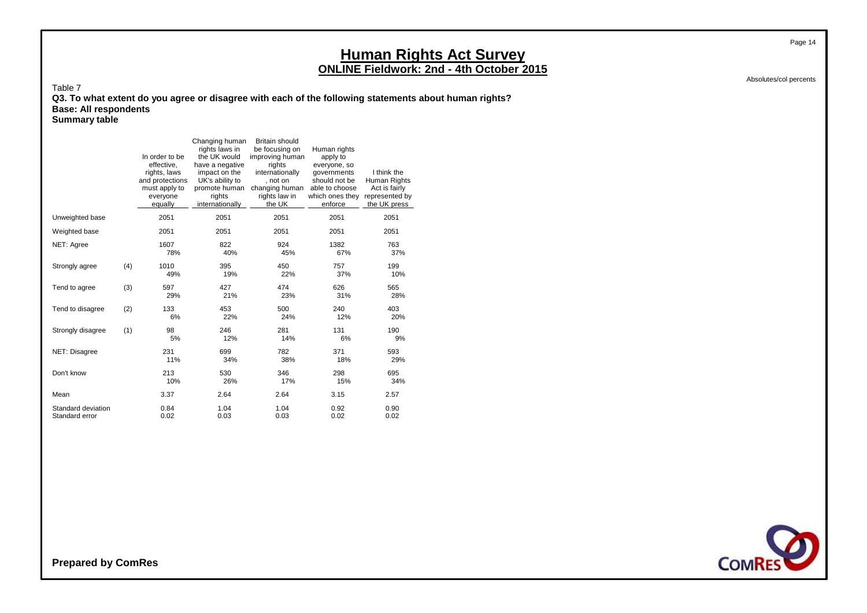Absolutes/col percents

Page 14

Table 7 **Q3. To what extent do you agree or disagree with each of the following statements about human rights? Base: All respondents Summary table**

|                                      |     | In order to be<br>effective,<br>rights, laws<br>and protections<br>must apply to<br>everyone<br>equally | Changing human<br>rights laws in<br>the UK would<br>have a negative<br>impact on the<br>UK's ability to<br>promote human<br>rights<br>internationally | <b>Britain should</b><br>be focusing on<br>improving human<br>rights<br>internationally<br>. not on<br>changing human<br>rights law in<br>the UK | Human rights<br>apply to<br>everyone, so<br>governments<br>should not be<br>able to choose<br>which ones they<br>enforce | I think the<br>Human Rights<br>Act is fairly<br>represented by<br>the UK press |
|--------------------------------------|-----|---------------------------------------------------------------------------------------------------------|-------------------------------------------------------------------------------------------------------------------------------------------------------|--------------------------------------------------------------------------------------------------------------------------------------------------|--------------------------------------------------------------------------------------------------------------------------|--------------------------------------------------------------------------------|
| Unweighted base                      |     | 2051                                                                                                    | 2051                                                                                                                                                  | 2051                                                                                                                                             | 2051                                                                                                                     | 2051                                                                           |
| Weighted base                        |     | 2051                                                                                                    | 2051                                                                                                                                                  | 2051                                                                                                                                             | 2051                                                                                                                     | 2051                                                                           |
| NET: Agree                           |     | 1607<br>78%                                                                                             | 822<br>40%                                                                                                                                            | 924<br>45%                                                                                                                                       | 1382<br>67%                                                                                                              | 763<br>37%                                                                     |
| Strongly agree                       | (4) | 1010<br>49%                                                                                             | 395<br>19%                                                                                                                                            | 450<br>22%                                                                                                                                       | 757<br>37%                                                                                                               | 199<br>10%                                                                     |
| Tend to agree                        | (3) | 597<br>29%                                                                                              | 427<br>21%                                                                                                                                            | 474<br>23%                                                                                                                                       | 626<br>31%                                                                                                               | 565<br>28%                                                                     |
| Tend to disagree                     | (2) | 133<br>6%                                                                                               | 453<br>22%                                                                                                                                            | 500<br>24%                                                                                                                                       | 240<br>12%                                                                                                               | 403<br>20%                                                                     |
| Strongly disagree                    | (1) | 98<br>5%                                                                                                | 246<br>12%                                                                                                                                            | 281<br>14%                                                                                                                                       | 131<br>6%                                                                                                                | 190<br>9%                                                                      |
| NET: Disagree                        |     | 231<br>11%                                                                                              | 699<br>34%                                                                                                                                            | 782<br>38%                                                                                                                                       | 371<br>18%                                                                                                               | 593<br>29%                                                                     |
| Don't know                           |     | 213<br>10%                                                                                              | 530<br>26%                                                                                                                                            | 346<br>17%                                                                                                                                       | 298<br>15%                                                                                                               | 695<br>34%                                                                     |
| Mean                                 |     | 3.37                                                                                                    | 2.64                                                                                                                                                  | 2.64                                                                                                                                             | 3.15                                                                                                                     | 2.57                                                                           |
| Standard deviation<br>Standard error |     | 0.84<br>0.02                                                                                            | 1.04<br>0.03                                                                                                                                          | 1.04<br>0.03                                                                                                                                     | 0.92<br>0.02                                                                                                             | 0.90<br>0.02                                                                   |

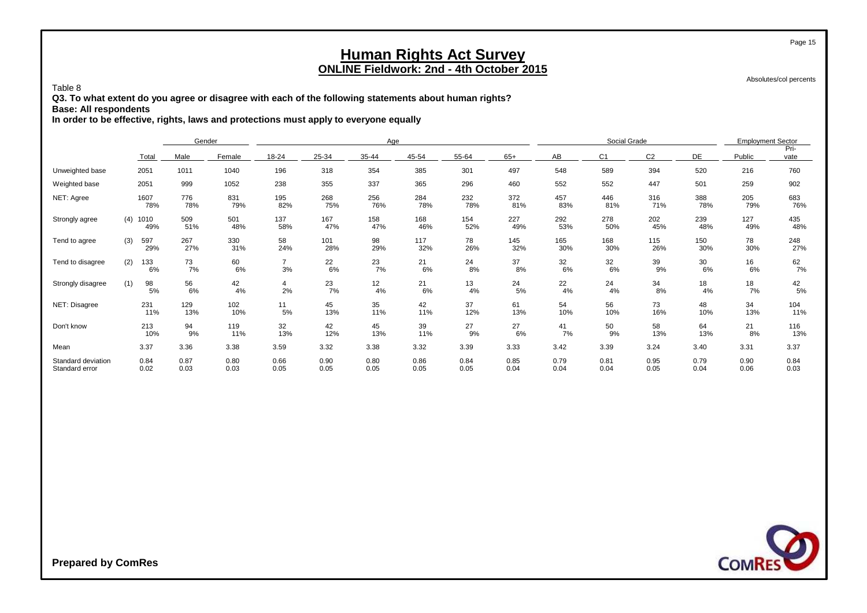Absolutes/col percents

Page 15

#### Table 8

**Q3. To what extent do you agree or disagree with each of the following statements about human rights?**

**Base: All respondents**

**In order to be effective, rights, laws and protections must apply to everyone equally**

|                                      |              |                      | Gender       |                      |              | Age          |              |              |              |              | Social Grade   |                |              | <b>Employment Sector</b> |              |
|--------------------------------------|--------------|----------------------|--------------|----------------------|--------------|--------------|--------------|--------------|--------------|--------------|----------------|----------------|--------------|--------------------------|--------------|
|                                      | Total        | Male                 | Female       | 18-24                | 25-34        | 35-44        | 45-54        | 55-64        | $65+$        | AB           | C <sub>1</sub> | C <sub>2</sub> | DE           | Public                   | Pri-<br>vate |
| Unweighted base                      | 2051         | 1011                 | 1040         | 196                  | 318          | 354          | 385          | 301          | 497          | 548          | 589            | 394            | 520          | 216                      | 760          |
| Weighted base                        | 2051         | 999                  | 1052         | 238                  | 355          | 337          | 365          | 296          | 460          | 552          | 552            | 447            | 501          | 259                      | 902          |
| NET: Agree                           | 1607         | 776<br>78%<br>78%    | 831<br>79%   | 195<br>82%           | 268<br>75%   | 256<br>76%   | 284<br>78%   | 232<br>78%   | 372<br>81%   | 457<br>83%   | 446<br>81%     | 316<br>71%     | 388<br>78%   | 205<br>79%               | 683<br>76%   |
| Strongly agree                       | (4)<br>1010  | 509<br>49%<br>51%    | 501<br>48%   | 137<br>58%           | 167<br>47%   | 158<br>47%   | 168<br>46%   | 154<br>52%   | 227<br>49%   | 292<br>53%   | 278<br>50%     | 202<br>45%     | 239<br>48%   | 127<br>49%               | 435<br>48%   |
| Tend to agree                        | (3)<br>597   | 267<br>29%<br>27%    | 330<br>31%   | 58<br>24%            | 101<br>28%   | 98<br>29%    | 117<br>32%   | 78<br>26%    | 145<br>32%   | 165<br>30%   | 168<br>30%     | 115<br>26%     | 150<br>30%   | 78<br>30%                | 248<br>27%   |
| Tend to disagree                     | (2)<br>133   | 73<br>7%<br>6%       | 60<br>6%     | $\overline{7}$<br>3% | 22<br>6%     | 23<br>7%     | 21<br>6%     | 24<br>8%     | 37<br>8%     | 32<br>6%     | 32<br>6%       | 39<br>9%       | 30<br>6%     | 16<br>6%                 | 62<br>7%     |
| Strongly disagree                    | (1)          | 98<br>56<br>6%<br>5% | 42<br>4%     | 4<br>2%              | 23<br>7%     | 12<br>4%     | 21<br>6%     | 13<br>4%     | 24<br>5%     | 22<br>4%     | 24<br>4%       | 34<br>8%       | 18<br>4%     | 18<br>7%                 | 42<br>5%     |
| NET: Disagree                        | 231          | 129<br>11%<br>13%    | 102<br>10%   | 11<br>5%             | 45<br>13%    | 35<br>11%    | 42<br>11%    | 37<br>12%    | 61<br>13%    | 54<br>10%    | 56<br>10%      | 73<br>16%      | 48<br>10%    | 34<br>13%                | 104<br>11%   |
| Don't know                           | 213          | 94<br>9%<br>10%      | 119<br>11%   | 32<br>13%            | 42<br>12%    | 45<br>13%    | 39<br>11%    | 27<br>9%     | 27<br>6%     | 41<br>7%     | 50<br>9%       | 58<br>13%      | 64<br>13%    | 21<br>8%                 | 116<br>13%   |
| Mean                                 | 3.37         | 3.36                 | 3.38         | 3.59                 | 3.32         | 3.38         | 3.32         | 3.39         | 3.33         | 3.42         | 3.39           | 3.24           | 3.40         | 3.31                     | 3.37         |
| Standard deviation<br>Standard error | 0.84<br>0.02 | 0.87<br>0.03         | 0.80<br>0.03 | 0.66<br>0.05         | 0.90<br>0.05 | 0.80<br>0.05 | 0.86<br>0.05 | 0.84<br>0.05 | 0.85<br>0.04 | 0.79<br>0.04 | 0.81<br>0.04   | 0.95<br>0.05   | 0.79<br>0.04 | 0.90<br>0.06             | 0.84<br>0.03 |

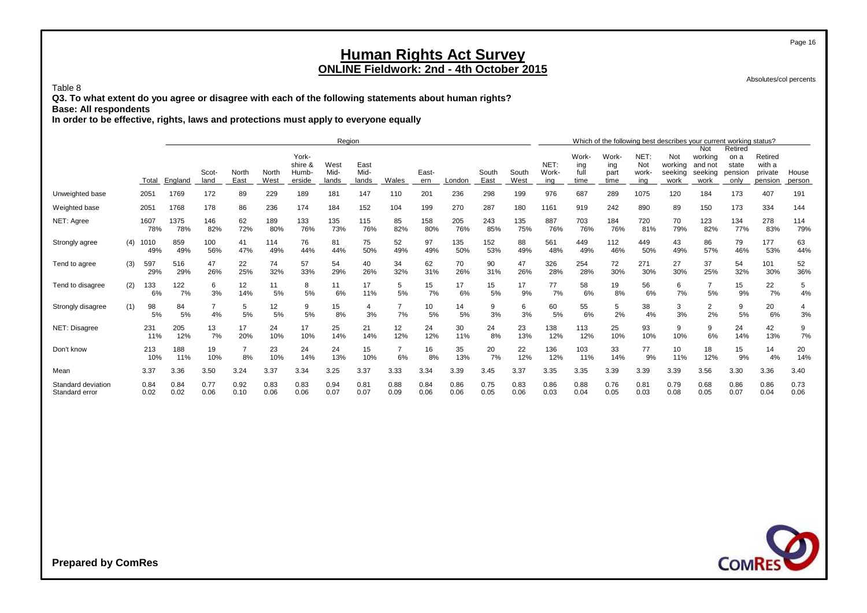Absolutes/col percents

Page 16

#### Table 8

**Q3. To what extent do you agree or disagree with each of the following statements about human rights? Base: All respondents**

**In order to be effective, rights, laws and protections must apply to everyone equally**

|                                      |     |              |              |                      |               |               |                            | Region                |                       |                      |              |              |               |               |               |              |                     |              | Which of the following best describes your current working status? |                      |                  |                   |              |
|--------------------------------------|-----|--------------|--------------|----------------------|---------------|---------------|----------------------------|-----------------------|-----------------------|----------------------|--------------|--------------|---------------|---------------|---------------|--------------|---------------------|--------------|--------------------------------------------------------------------|----------------------|------------------|-------------------|--------------|
|                                      |     |              |              |                      |               |               | York-                      |                       |                       |                      |              |              |               |               |               | Work-        | Work-               | NET:         | Not                                                                | Not<br>working       | Retired<br>on a  | Retired           |              |
|                                      |     |              |              | Scot-                | North<br>East | North<br>West | shire &<br>Humb-<br>erside | West<br>Mid-<br>lands | East<br>Mid-<br>lands | Wales                | East-        |              | South<br>East | South<br>West | NET:<br>Work- | ing<br>full  | ing<br>part<br>time | Not<br>work- | working<br>seeking                                                 | and not<br>seeking   | state<br>pension | with a<br>private | House        |
|                                      |     | Total        | England      | land                 |               |               |                            |                       |                       |                      | ern          | London       |               |               | ing           | time         |                     | ing          | work                                                               | work                 | only             | pension           | person       |
| Unweighted base                      |     | 2051         | 1769         | 172                  | 89            | 229           | 189                        | 181                   | 147                   | 110                  | 201          | 236          | 298           | 199           | 976           | 687          | 289                 | 1075         | 120                                                                | 184                  | 173              | 407               | 191          |
| Weighted base                        |     | 2051         | 1768         | 178                  | 86            | 236           | 174                        | 184                   | 152                   | 104                  | 199          | 270          | 287           | 180           | 1161          | 919          | 242                 | 890          | 89                                                                 | 150                  | 173              | 334               | 144          |
| NET: Agree                           |     | 1607<br>78%  | 1375<br>78%  | 146<br>82%           | 62<br>72%     | 189<br>80%    | 133<br>76%                 | 135<br>73%            | 115<br>76%            | 85<br>82%            | 158<br>80%   | 205<br>76%   | 243<br>85%    | 135<br>75%    | 887<br>76%    | 703<br>76%   | 184<br>76%          | 720<br>81%   | 70<br>79%                                                          | 123<br>82%           | 134<br>77%       | 278<br>83%        | 114<br>79%   |
| Strongly agree                       | (4) | 1010<br>49%  | 859<br>49%   | 100<br>56%           | 41<br>47%     | 114<br>49%    | 76<br>44%                  | 81<br>44%             | 75<br>50%             | 52<br>49%            | 97<br>49%    | 135<br>50%   | 152<br>53%    | 88<br>49%     | 561<br>48%    | 449<br>49%   | 112<br>46%          | 449<br>50%   | 43<br>49%                                                          | 86<br>57%            | 79<br>46%        | 177<br>53%        | 63<br>44%    |
| Tend to agree                        | (3) | 597<br>29%   | 516<br>29%   | 47<br>26%            | 22<br>25%     | 74<br>32%     | 57<br>33%                  | 54<br>29%             | 40<br>26%             | 34<br>32%            | 62<br>31%    | 70<br>26%    | 90<br>31%     | 47<br>26%     | 326<br>28%    | 254<br>28%   | 72<br>30%           | 271<br>30%   | 27<br>30%                                                          | 37<br>25%            | 54<br>32%        | 101<br>30%        | 52<br>36%    |
| Tend to disagree                     | (2) | 133<br>6%    | 122<br>7%    | 6<br>3%              | 12<br>14%     | 11<br>5%      | 8<br>5%                    | 11<br>6%              | 17<br>11%             | 5<br>5%              | 15<br>7%     | 17<br>6%     | 15<br>5%      | 17<br>9%      | 77<br>7%      | 58<br>6%     | 19<br>8%            | 56<br>6%     | 6<br>7%                                                            | 5%                   | 15<br>9%         | 22<br>7%          | 5<br>4%      |
| Strongly disagree                    | (1) | 98<br>5%     | 84<br>5%     | $\overline{7}$<br>4% | 5<br>5%       | 12<br>5%      | 9<br>5%                    | 15<br>8%              | 4<br>3%               | $\overline{7}$<br>7% | 10<br>5%     | 14<br>5%     | 9<br>3%       | 6<br>3%       | 60<br>5%      | 55<br>6%     | 5<br>2%             | 38<br>4%     | 3<br>3%                                                            | $\overline{2}$<br>2% | 9<br>5%          | 20<br>6%          | 4<br>3%      |
| NET: Disagree                        |     | 231<br>11%   | 205<br>12%   | 13<br>7%             | 17<br>20%     | 24<br>10%     | 17<br>10%                  | 25<br>14%             | 21<br>14%             | 12<br>12%            | 24<br>12%    | 30<br>11%    | 24<br>8%      | 23<br>13%     | 138<br>12%    | 113<br>12%   | 25<br>10%           | 93<br>10%    | 9<br>10%                                                           | 9<br>6%              | 24<br>14%        | 42<br>13%         | 9<br>7%      |
| Don't know                           |     | 213<br>10%   | 188<br>11%   | 19<br>10%            | 8%            | 23<br>10%     | 24<br>14%                  | 24<br>13%             | 15<br>10%             | $\overline{7}$<br>6% | 16<br>8%     | 35<br>13%    | 20<br>7%      | 22<br>12%     | 136<br>12%    | 103<br>11%   | 33<br>14%           | 77<br>9%     | 10<br>11%                                                          | 18<br>12%            | 15<br>9%         | 14<br>4%          | 20<br>14%    |
| Mean                                 |     | 3.37         | 3.36         | 3.50                 | 3.24          | 3.37          | 3.34                       | 3.25                  | 3.37                  | 3.33                 | 3.34         | 3.39         | 3.45          | 3.37          | 3.35          | 3.35         | 3.39                | 3.39         | 3.39                                                               | 3.56                 | 3.30             | 3.36              | 3.40         |
| Standard deviation<br>Standard error |     | 0.84<br>0.02 | 0.84<br>0.02 | 0.77<br>0.06         | 0.92<br>0.10  | 0.83<br>0.06  | 0.83<br>0.06               | 0.94<br>0.07          | 0.81<br>0.07          | 0.88<br>0.09         | 0.84<br>0.06 | 0.86<br>0.06 | 0.75<br>0.05  | 0.83<br>0.06  | 0.86<br>0.03  | 0.88<br>0.04 | 0.76<br>0.05        | 0.81<br>0.03 | 0.79<br>0.08                                                       | 0.68<br>0.05         | 0.86<br>0.07     | 0.86<br>0.04      | 0.73<br>0.06 |

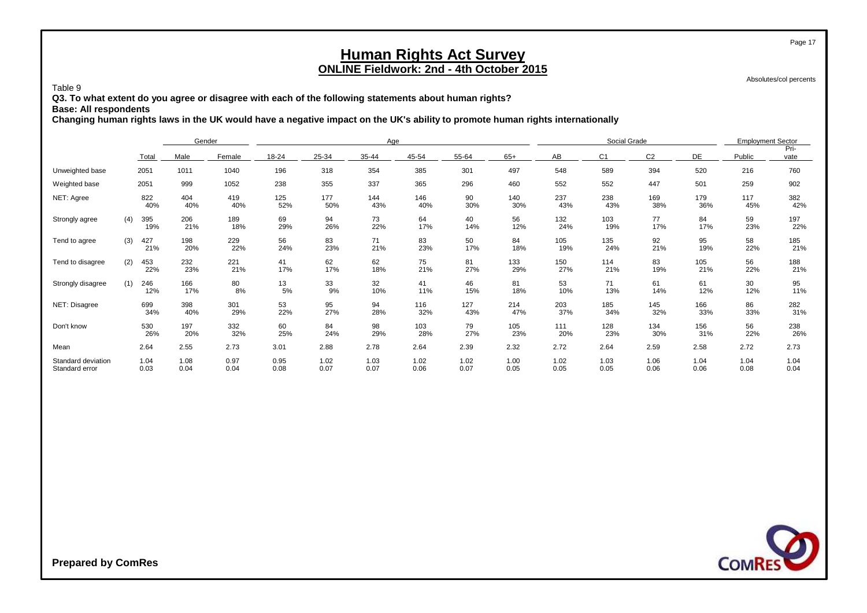Absolutes/col percents

Page 17

Table 9

**Q3. To what extent do you agree or disagree with each of the following statements about human rights?**

**Base: All respondents**

**Changing human rights laws in the UK would have a negative impact on the UK's ability to promote human rights internationally**

|                                      |     |              | Gender       |              |              |              | Age          |              |              |              |              | Social Grade   |                |              | <b>Employment Sector</b> |              |
|--------------------------------------|-----|--------------|--------------|--------------|--------------|--------------|--------------|--------------|--------------|--------------|--------------|----------------|----------------|--------------|--------------------------|--------------|
|                                      |     | Total        | Male         | Female       | 18-24        | 25-34        | 35-44        | 45-54        | 55-64        | $65+$        | AB           | C <sub>1</sub> | C <sub>2</sub> | DE           | Public                   | Pri-<br>vate |
| Unweighted base                      |     | 2051         | 1011         | 1040         | 196          | 318          | 354          | 385          | 301          | 497          | 548          | 589            | 394            | 520          | 216                      | 760          |
| Weighted base                        |     | 2051         | 999          | 1052         | 238          | 355          | 337          | 365          | 296          | 460          | 552          | 552            | 447            | 501          | 259                      | 902          |
| NET: Agree                           |     | 822<br>40%   | 404<br>40%   | 419<br>40%   | 125<br>52%   | 177<br>50%   | 144<br>43%   | 146<br>40%   | 90<br>30%    | 140<br>30%   | 237<br>43%   | 238<br>43%     | 169<br>38%     | 179<br>36%   | 117<br>45%               | 382<br>42%   |
| Strongly agree                       | (4) | 395<br>19%   | 206<br>21%   | 189<br>18%   | 69<br>29%    | 94<br>26%    | 73<br>22%    | 64<br>17%    | 40<br>14%    | 56<br>12%    | 132<br>24%   | 103<br>19%     | 77<br>17%      | 84<br>17%    | 59<br>23%                | 197<br>22%   |
| Tend to agree                        | (3) | 427<br>21%   | 198<br>20%   | 229<br>22%   | 56<br>24%    | 83<br>23%    | 71<br>21%    | 83<br>23%    | 50<br>17%    | 84<br>18%    | 105<br>19%   | 135<br>24%     | 92<br>21%      | 95<br>19%    | 58<br>22%                | 185<br>21%   |
| Tend to disagree                     | (2) | 453<br>22%   | 232<br>23%   | 221<br>21%   | 41<br>17%    | 62<br>17%    | 62<br>18%    | 75<br>21%    | 81<br>27%    | 133<br>29%   | 150<br>27%   | 114<br>21%     | 83<br>19%      | 105<br>21%   | 56<br>22%                | 188<br>21%   |
| Strongly disagree                    | (1) | 246<br>12%   | 166<br>17%   | 80<br>8%     | 13<br>5%     | 33<br>9%     | 32<br>10%    | 41<br>11%    | 46<br>15%    | 81<br>18%    | 53<br>10%    | 71<br>13%      | 61<br>14%      | 61<br>12%    | 30<br>12%                | 95<br>11%    |
| NET: Disagree                        |     | 699<br>34%   | 398<br>40%   | 301<br>29%   | 53<br>22%    | 95<br>27%    | 94<br>28%    | 116<br>32%   | 127<br>43%   | 214<br>47%   | 203<br>37%   | 185<br>34%     | 145<br>32%     | 166<br>33%   | 86<br>33%                | 282<br>31%   |
| Don't know                           |     | 530<br>26%   | 197<br>20%   | 332<br>32%   | 60<br>25%    | 84<br>24%    | 98<br>29%    | 103<br>28%   | 79<br>27%    | 105<br>23%   | 111<br>20%   | 128<br>23%     | 134<br>30%     | 156<br>31%   | 56<br>22%                | 238<br>26%   |
| Mean                                 |     | 2.64         | 2.55         | 2.73         | 3.01         | 2.88         | 2.78         | 2.64         | 2.39         | 2.32         | 2.72         | 2.64           | 2.59           | 2.58         | 2.72                     | 2.73         |
| Standard deviation<br>Standard error |     | 1.04<br>0.03 | 1.08<br>0.04 | 0.97<br>0.04 | 0.95<br>0.08 | 1.02<br>0.07 | 1.03<br>0.07 | 1.02<br>0.06 | 1.02<br>0.07 | 1.00<br>0.05 | 1.02<br>0.05 | 1.03<br>0.05   | 1.06<br>0.06   | 1.04<br>0.06 | 1.04<br>0.08             | 1.04<br>0.04 |

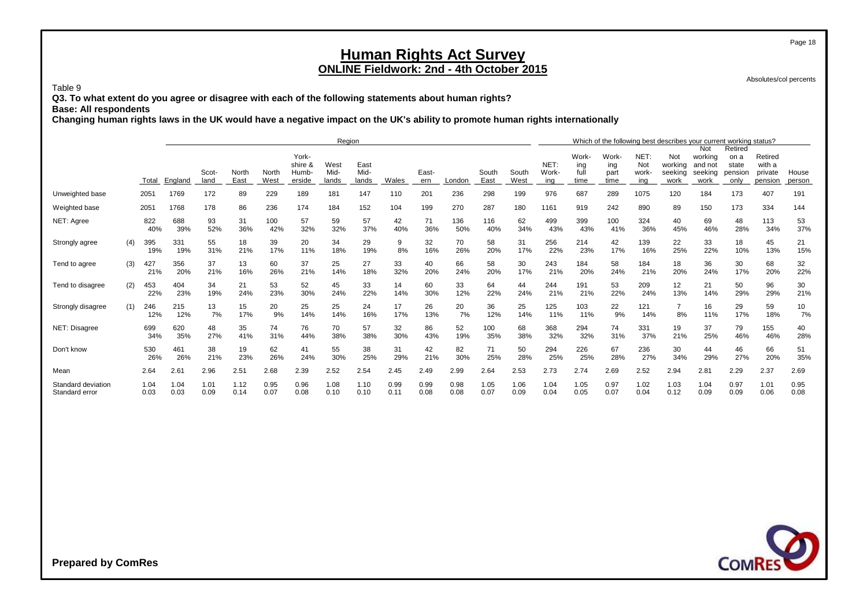Absolutes/col percents

Page 18

Table 9

**Q3. To what extent do you agree or disagree with each of the following statements about human rights?**

**Base: All respondents**

**Changing human rights laws in the UK would have a negative impact on the UK's ability to promote human rights internationally**

|                                      |     |              |              |               |               |               |                                     | Region                |                       |              |              |              |               |               |                      |                              |                              |                            | Which of the following best describes your current working status? |                                              |                                             |                                         |                 |
|--------------------------------------|-----|--------------|--------------|---------------|---------------|---------------|-------------------------------------|-----------------------|-----------------------|--------------|--------------|--------------|---------------|---------------|----------------------|------------------------------|------------------------------|----------------------------|--------------------------------------------------------------------|----------------------------------------------|---------------------------------------------|-----------------------------------------|-----------------|
|                                      |     | Total        | England      | Scot-<br>land | North<br>East | North<br>West | York-<br>shire &<br>Humb-<br>erside | West<br>Mid-<br>lands | East<br>Mid-<br>lands | Wales        | East-<br>ern | London       | South<br>East | South<br>West | NET:<br>Work-<br>ina | Work-<br>ing<br>full<br>time | Work-<br>ing<br>part<br>time | NET:<br>Not<br>work<br>ing | Not<br>working<br>seeking<br>work                                  | Not<br>working<br>and not<br>seeking<br>work | Retired<br>on a<br>state<br>pension<br>only | Retired<br>with a<br>private<br>pension | House<br>person |
| Unweighted base                      |     | 2051         | 1769         | 172           | 89            | 229           | 189                                 | 181                   | 147                   | 110          | 201          | 236          | 298           | 199           | 976                  | 687                          | 289                          | 1075                       | 120                                                                | 184                                          | 173                                         | 407                                     | 191             |
| Weighted base                        |     | 2051         | 1768         | 178           | 86            | 236           | 174                                 | 184                   | 152                   | 104          | 199          | 270          | 287           | 180           | 1161                 | 919                          | 242                          | 890                        | 89                                                                 | 150                                          | 173                                         | 334                                     | 144             |
| NET: Agree                           |     | 822<br>40%   | 688<br>39%   | 93<br>52%     | 31<br>36%     | 100<br>42%    | 57<br>32%                           | 59<br>32%             | 57<br>37%             | 42<br>40%    | 71<br>36%    | 136<br>50%   | 116<br>40%    | 62<br>34%     | 499<br>43%           | 399<br>43%                   | 100<br>41%                   | 324<br>36%                 | 40<br>45%                                                          | 69<br>46%                                    | 48<br>28%                                   | 113<br>34%                              | 53<br>37%       |
| Strongly agree                       | (4) | 395<br>19%   | 331<br>19%   | 55<br>31%     | 18<br>21%     | 39<br>17%     | 20<br>11%                           | 34<br>18%             | 29<br>19%             | 9<br>8%      | 32<br>16%    | 70<br>26%    | 58<br>20%     | 31<br>17%     | 256<br>22%           | 214<br>23%                   | 42<br>17%                    | 139<br>16%                 | 22<br>25%                                                          | 33<br>22%                                    | 18<br>10%                                   | 45<br>13%                               | 21<br>15%       |
| Tend to agree                        | (3) | 427<br>21%   | 356<br>20%   | 37<br>21%     | 13<br>16%     | 60<br>26%     | 37<br>21%                           | 25<br>14%             | 27<br>18%             | 33<br>32%    | 40<br>20%    | 66<br>24%    | 58<br>20%     | 30<br>17%     | 243<br>21%           | 184<br>20%                   | 58<br>24%                    | 184<br>21%                 | 18<br>20%                                                          | 36<br>24%                                    | 30<br>17%                                   | 68<br>20%                               | 32<br>22%       |
| Tend to disagree                     | (2) | 453<br>22%   | 404<br>23%   | 34<br>19%     | 21<br>24%     | 53<br>23%     | 52<br>30%                           | 45<br>24%             | 33<br>22%             | 14<br>14%    | 60<br>30%    | 33<br>12%    | 64<br>22%     | 44<br>24%     | 244<br>21%           | 191<br>21%                   | 53<br>22%                    | 209<br>24%                 | 12<br>13%                                                          | 21<br>14%                                    | 50<br>29%                                   | 96<br>29%                               | 30<br>21%       |
| Strongly disagree                    | (1) | 246<br>12%   | 215<br>12%   | 13<br>7%      | 15<br>17%     | 20<br>9%      | 25<br>14%                           | 25<br>14%             | 24<br>16%             | 17<br>17%    | 26<br>13%    | 20<br>7%     | 36<br>12%     | 25<br>14%     | 125<br>11%           | 103<br>11%                   | 22<br>9%                     | 121<br>14%                 | 8%                                                                 | 16<br>11%                                    | 29<br>17%                                   | 59<br>18%                               | 10<br>7%        |
| NET: Disagree                        |     | 699<br>34%   | 620<br>35%   | 48<br>27%     | 35<br>41%     | 74<br>31%     | 76<br>44%                           | 70<br>38%             | 57<br>38%             | 32<br>30%    | 86<br>43%    | 52<br>19%    | 100<br>35%    | 68<br>38%     | 368<br>32%           | 294<br>32%                   | 74<br>31%                    | 331<br>37%                 | 19<br>21%                                                          | 37<br>25%                                    | 79<br>46%                                   | 155<br>46%                              | 40<br>28%       |
| Don't know                           |     | 530<br>26%   | 461<br>26%   | 38<br>21%     | 19<br>23%     | 62<br>26%     | 41<br>24%                           | 55<br>30%             | 38<br>25%             | 31<br>29%    | 42<br>21%    | 82<br>30%    | 71<br>25%     | 50<br>28%     | 294<br>25%           | 226<br>25%                   | 67<br>28%                    | 236<br>27%                 | 30<br>34%                                                          | 44<br>29%                                    | 46<br>27%                                   | 66<br>20%                               | 51<br>35%       |
| Mean                                 |     | 2.64         | 2.61         | 2.96          | 2.51          | 2.68          | 2.39                                | 2.52                  | 2.54                  | 2.45         | 2.49         | 2.99         | 2.64          | 2.53          | 2.73                 | 2.74                         | 2.69                         | 2.52                       | 2.94                                                               | 2.81                                         | 2.29                                        | 2.37                                    | 2.69            |
| Standard deviation<br>Standard error |     | 1.04<br>0.03 | 1.04<br>0.03 | 1.01<br>0.09  | 1.12<br>0.14  | 0.95<br>0.07  | 0.96<br>0.08                        | 1.08<br>0.10          | 1.10<br>0.10          | 0.99<br>0.11 | 0.99<br>0.08 | 0.98<br>0.08 | 1.05<br>0.07  | 1.06<br>0.09  | 1.04<br>0.04         | 1.05<br>0.05                 | 0.97<br>0.07                 | 1.02<br>0.04               | 1.03<br>0.12                                                       | 1.04<br>0.09                                 | 0.97<br>0.09                                | 1.01<br>0.06                            | 0.95<br>0.08    |

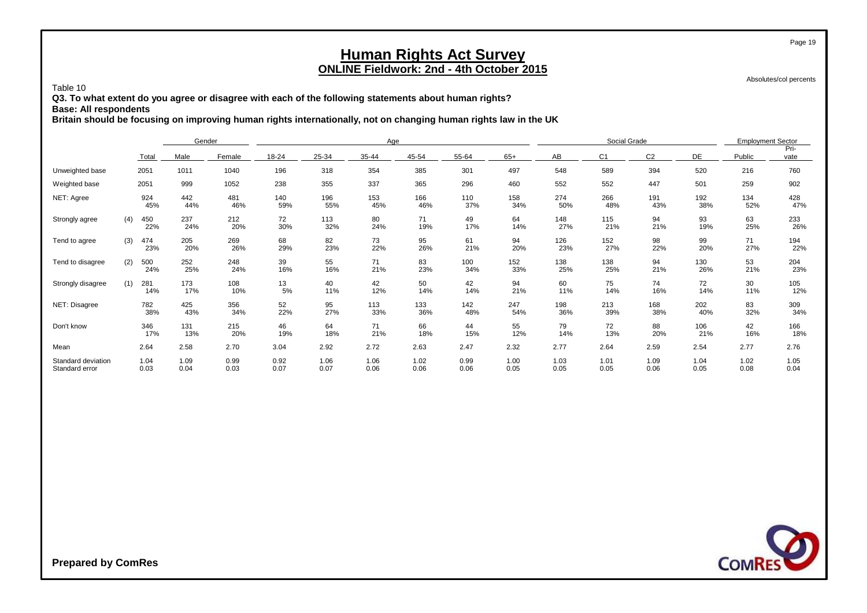Absolutes/col percents

Page 19

Table 10

**Q3. To what extent do you agree or disagree with each of the following statements about human rights?**

**Base: All respondents**

**Britain should be focusing on improving human rights internationally, not on changing human rights law in the UK**

|                                      |     |              | Gender       |              |              |              | Age          |              |              |              |              | Social Grade   |                |              | <b>Employment Sector</b> |              |
|--------------------------------------|-----|--------------|--------------|--------------|--------------|--------------|--------------|--------------|--------------|--------------|--------------|----------------|----------------|--------------|--------------------------|--------------|
|                                      |     | Total        | Male         | Female       | 18-24        | 25-34        | 35-44        | 45-54        | 55-64        | $65+$        | AB           | C <sub>1</sub> | C <sub>2</sub> | DE           | Public                   | Pri-<br>vate |
| Unweighted base                      |     | 2051         | 1011         | 1040         | 196          | 318          | 354          | 385          | 301          | 497          | 548          | 589            | 394            | 520          | 216                      | 760          |
| Weighted base                        |     | 2051         | 999          | 1052         | 238          | 355          | 337          | 365          | 296          | 460          | 552          | 552            | 447            | 501          | 259                      | 902          |
| NET: Agree                           |     | 924<br>45%   | 442<br>44%   | 481<br>46%   | 140<br>59%   | 196<br>55%   | 153<br>45%   | 166<br>46%   | 110<br>37%   | 158<br>34%   | 274<br>50%   | 266<br>48%     | 191<br>43%     | 192<br>38%   | 134<br>52%               | 428<br>47%   |
| Strongly agree                       | (4) | 450<br>22%   | 237<br>24%   | 212<br>20%   | 72<br>30%    | 113<br>32%   | 80<br>24%    | 71<br>19%    | 49<br>17%    | 64<br>14%    | 148<br>27%   | 115<br>21%     | 94<br>21%      | 93<br>19%    | 63<br>25%                | 233<br>26%   |
| Tend to agree                        | (3) | 474<br>23%   | 205<br>20%   | 269<br>26%   | 68<br>29%    | 82<br>23%    | 73<br>22%    | 95<br>26%    | 61<br>21%    | 94<br>20%    | 126<br>23%   | 152<br>27%     | 98<br>22%      | 99<br>20%    | 71<br>27%                | 194<br>22%   |
| Tend to disagree                     | (2) | 500<br>24%   | 252<br>25%   | 248<br>24%   | 39<br>16%    | 55<br>16%    | 71<br>21%    | 83<br>23%    | 100<br>34%   | 152<br>33%   | 138<br>25%   | 138<br>25%     | 94<br>21%      | 130<br>26%   | 53<br>21%                | 204<br>23%   |
| Strongly disagree                    | (1) | 281<br>14%   | 173<br>17%   | 108<br>10%   | 13<br>5%     | 40<br>11%    | 42<br>12%    | 50<br>14%    | 42<br>14%    | 94<br>21%    | 60<br>11%    | 75<br>14%      | 74<br>16%      | 72<br>14%    | 30<br>11%                | 105<br>12%   |
| NET: Disagree                        |     | 782<br>38%   | 425<br>43%   | 356<br>34%   | 52<br>22%    | 95<br>27%    | 113<br>33%   | 133<br>36%   | 142<br>48%   | 247<br>54%   | 198<br>36%   | 213<br>39%     | 168<br>38%     | 202<br>40%   | 83<br>32%                | 309<br>34%   |
| Don't know                           |     | 346<br>17%   | 131<br>13%   | 215<br>20%   | 46<br>19%    | 64<br>18%    | 71<br>21%    | 66<br>18%    | 44<br>15%    | 55<br>12%    | 79<br>14%    | 72<br>13%      | 88<br>20%      | 106<br>21%   | 42<br>16%                | 166<br>18%   |
| Mean                                 |     | 2.64         | 2.58         | 2.70         | 3.04         | 2.92         | 2.72         | 2.63         | 2.47         | 2.32         | 2.77         | 2.64           | 2.59           | 2.54         | 2.77                     | 2.76         |
| Standard deviation<br>Standard error |     | 1.04<br>0.03 | 1.09<br>0.04 | 0.99<br>0.03 | 0.92<br>0.07 | 1.06<br>0.07 | 1.06<br>0.06 | 1.02<br>0.06 | 0.99<br>0.06 | 1.00<br>0.05 | 1.03<br>0.05 | 1.01<br>0.05   | 1.09<br>0.06   | 1.04<br>0.05 | 1.02<br>0.08             | 1.05<br>0.04 |

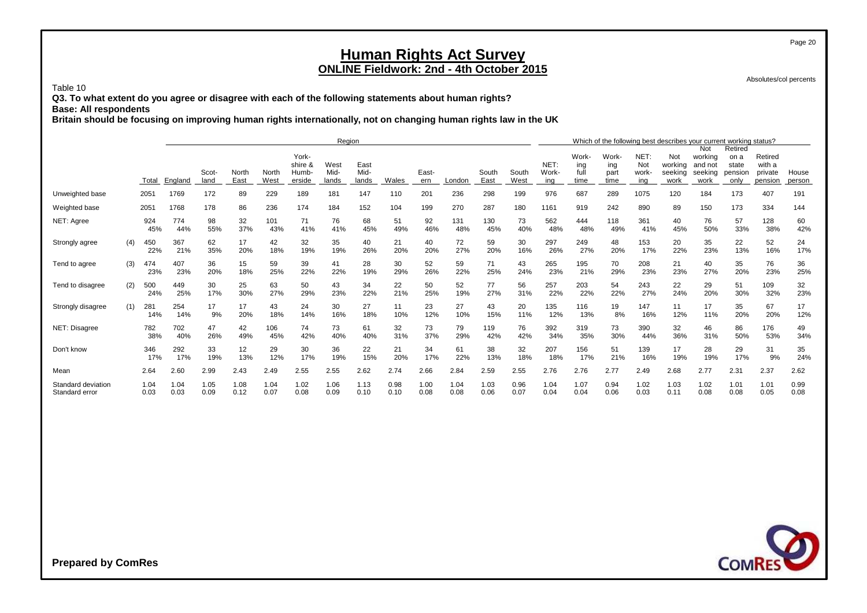Absolutes/col percents

Page 20

Table 10

**Q3. To what extent do you agree or disagree with each of the following statements about human rights? Base: All respondents**

**Britain should be focusing on improving human rights internationally, not on changing human rights law in the UK**

|                                      |     |              |              |               |               |               |                                     | Region                |                       |              |              |              |               |               |                      |                              |                              |                            | Which of the following best describes your current working status? |                                              |                                             |                                         |                 |
|--------------------------------------|-----|--------------|--------------|---------------|---------------|---------------|-------------------------------------|-----------------------|-----------------------|--------------|--------------|--------------|---------------|---------------|----------------------|------------------------------|------------------------------|----------------------------|--------------------------------------------------------------------|----------------------------------------------|---------------------------------------------|-----------------------------------------|-----------------|
|                                      |     | Total        | England      | Scot-<br>land | North<br>East | North<br>West | York-<br>shire &<br>Humb-<br>erside | West<br>Mid-<br>lands | East<br>Mid-<br>lands | Wales        | East-<br>ern | London       | South<br>East | South<br>West | NET:<br>Work-<br>ing | Work-<br>ing<br>full<br>time | Work-<br>ing<br>part<br>time | NET:<br>Not<br>work<br>ing | Not<br>working<br>seeking<br>work                                  | Not<br>working<br>and not<br>seeking<br>work | Retired<br>on a<br>state<br>pensior<br>only | Retired<br>with a<br>private<br>pension | House<br>person |
| Unweighted base                      |     | 2051         | 1769         | 172           | 89            | 229           | 189                                 | 181                   | 147                   | 110          | 201          | 236          | 298           | 199           | 976                  | 687                          | 289                          | 1075                       | 120                                                                | 184                                          | 173                                         | 407                                     | 191             |
| Weighted base                        |     | 2051         | 1768         | 178           | 86            | 236           | 174                                 | 184                   | 152                   | 104          | 199          | 270          | 287           | 180           | 1161                 | 919                          | 242                          | 890                        | 89                                                                 | 150                                          | 173                                         | 334                                     | 144             |
| NET: Agree                           |     | 924<br>45%   | 774<br>44%   | 98<br>55%     | 32<br>37%     | 101<br>43%    | 71<br>41%                           | 76<br>41%             | 68<br>45%             | 51<br>49%    | 92<br>46%    | 131<br>48%   | 130<br>45%    | 73<br>40%     | 562<br>48%           | 444<br>48%                   | 118<br>49%                   | 361<br>41%                 | 40<br>45%                                                          | 76<br>50%                                    | 57<br>33%                                   | 128<br>38%                              | 60<br>42%       |
| Strongly agree                       | (4) | 450<br>22%   | 367<br>21%   | 62<br>35%     | 17<br>20%     | 42<br>18%     | 32<br>19%                           | 35<br>19%             | 40<br>26%             | 21<br>20%    | 40<br>20%    | 72<br>27%    | 59<br>20%     | 30<br>16%     | 297<br>26%           | 249<br>27%                   | 48<br>20%                    | 153<br>17%                 | 20<br>22%                                                          | 35<br>23%                                    | 22<br>13%                                   | 52<br>16%                               | 24<br>17%       |
| Tend to agree                        | (3) | 474<br>23%   | 407<br>23%   | 36<br>20%     | 15<br>18%     | 59<br>25%     | 39<br>22%                           | 41<br>22%             | 28<br>19%             | 30<br>29%    | 52<br>26%    | 59<br>22%    | 71<br>25%     | 43<br>24%     | 265<br>23%           | 195<br>21%                   | 70<br>29%                    | 208<br>23%                 | 21<br>23%                                                          | 40<br>27%                                    | 35<br>20%                                   | 76<br>23%                               | 36<br>25%       |
| Tend to disagree                     | (2) | 500<br>24%   | 449<br>25%   | 30<br>17%     | 25<br>30%     | 63<br>27%     | 50<br>29%                           | 43<br>23%             | 34<br>22%             | 22<br>21%    | 50<br>25%    | 52<br>19%    | 77<br>27%     | 56<br>31%     | 257<br>22%           | 203<br>22%                   | 54<br>22%                    | 243<br>27%                 | 22<br>24%                                                          | 29<br>20%                                    | 51<br>30%                                   | 109<br>32%                              | 32<br>23%       |
| Strongly disagree                    | (1) | 281<br>14%   | 254<br>14%   | 17<br>9%      | 17<br>20%     | 43<br>18%     | 24<br>14%                           | 30<br>16%             | 27<br>18%             | 11<br>10%    | 23<br>12%    | 27<br>10%    | 43<br>15%     | 20<br>11%     | 135<br>12%           | 116<br>13%                   | 19<br>8%                     | 147<br>16%                 | 11<br>12%                                                          | 17<br>11%                                    | 35<br>20%                                   | 67<br>20%                               | 17<br>12%       |
| NET: Disagree                        |     | 782<br>38%   | 702<br>40%   | 47<br>26%     | 42<br>49%     | 106<br>45%    | 74<br>42%                           | 73<br>40%             | 61<br>40%             | 32<br>31%    | 73<br>37%    | 79<br>29%    | 119<br>42%    | 76<br>42%     | 392<br>34%           | 319<br>35%                   | 73<br>30%                    | 390<br>44%                 | 32<br>36%                                                          | 46<br>31%                                    | 86<br>50%                                   | 176<br>53%                              | 49<br>34%       |
| Don't know                           |     | 346<br>17%   | 292<br>17%   | 33<br>19%     | 12<br>13%     | 29<br>12%     | 30<br>17%                           | 36<br>19%             | 22<br>15%             | 21<br>20%    | 34<br>17%    | 61<br>22%    | 38<br>13%     | 32<br>18%     | 207<br>18%           | 156<br>17%                   | 51<br>21%                    | 139<br>16%                 | 17<br>19%                                                          | 28<br>19%                                    | 29<br>17%                                   | 31<br>9%                                | 35<br>24%       |
| Mean                                 |     | 2.64         | 2.60         | 2.99          | 2.43          | 2.49          | 2.55                                | 2.55                  | 2.62                  | 2.74         | 2.66         | 2.84         | 2.59          | 2.55          | 2.76                 | 2.76                         | 2.77                         | 2.49                       | 2.68                                                               | 2.77                                         | 2.31                                        | 2.37                                    | 2.62            |
| Standard deviation<br>Standard error |     | 1.04<br>0.03 | 1.04<br>0.03 | 1.05<br>0.09  | 1.08<br>0.12  | 1.04<br>0.07  | 1.02<br>0.08                        | 1.06<br>0.09          | 1.13<br>0.10          | 0.98<br>0.10 | 1.00<br>0.08 | 1.04<br>0.08 | 1.03<br>0.06  | 0.96<br>0.07  | 1.04<br>0.04         | 1.07<br>0.04                 | 0.94<br>0.06                 | 1.02<br>0.03               | 1.03<br>0.11                                                       | 1.02<br>0.08                                 | 1.01<br>0.08                                | 1.01<br>0.05                            | 0.99<br>0.08    |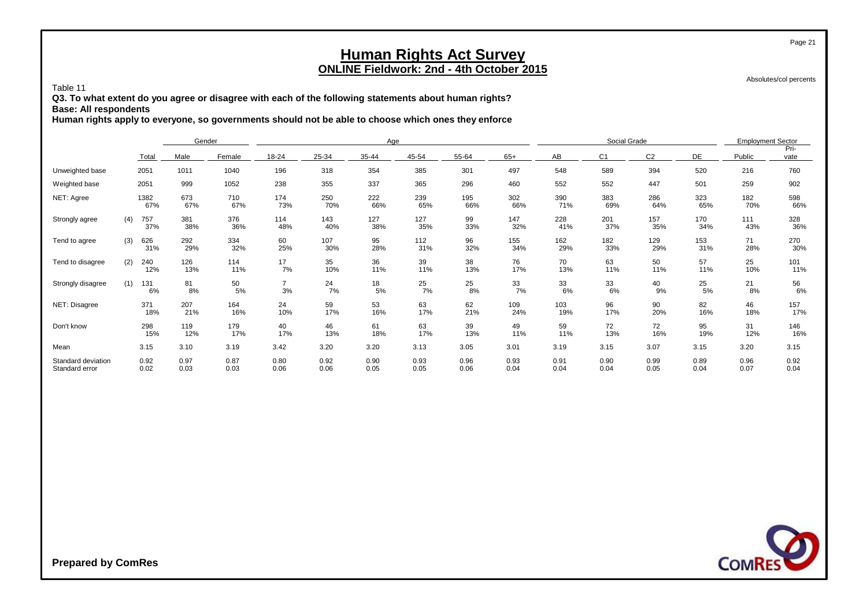Absolutes/col percents

#### Table 11

**Q3. To what extent do you agree or disagree with each of the following statements about human rights? Base: All respondents**

**Human rights apply to everyone, so governments should not be able to choose which ones they enforce**

|                                      |                   |              | Gender       |                      |              | Age          |              |              |              |              | Social Grade   |                |              | <b>Employment Sector</b> |              |
|--------------------------------------|-------------------|--------------|--------------|----------------------|--------------|--------------|--------------|--------------|--------------|--------------|----------------|----------------|--------------|--------------------------|--------------|
|                                      | Total             | Male         | Female       | 18-24                | 25-34        | 35-44        | 45-54        | 55-64        | $65+$        | AB           | C <sub>1</sub> | C <sub>2</sub> | DE           | Public                   | Pri-<br>vate |
| Unweighted base                      | 2051              | 1011         | 1040         | 196                  | 318          | 354          | 385          | 301          | 497          | 548          | 589            | 394            | 520          | 216                      | 760          |
| Weighted base                        | 2051              | 999          | 1052         | 238                  | 355          | 337          | 365          | 296          | 460          | 552          | 552            | 447            | 501          | 259                      | 902          |
| NET: Agree                           | 1382<br>67%       | 673<br>67%   | 710<br>67%   | 174<br>73%           | 250<br>70%   | 222<br>66%   | 239<br>65%   | 195<br>66%   | 302<br>66%   | 390<br>71%   | 383<br>69%     | 286<br>64%     | 323<br>65%   | 182<br>70%               | 598<br>66%   |
| Strongly agree                       | 757<br>(4)<br>37% | 381<br>38%   | 376<br>36%   | 114<br>48%           | 143<br>40%   | 127<br>38%   | 127<br>35%   | 99<br>33%    | 147<br>32%   | 228<br>41%   | 201<br>37%     | 157<br>35%     | 170<br>34%   | 111<br>43%               | 328<br>36%   |
| Tend to agree                        | 626<br>(3)<br>31% | 292<br>29%   | 334<br>32%   | 60<br>25%            | 107<br>30%   | 95<br>28%    | 112<br>31%   | 96<br>32%    | 155<br>34%   | 162<br>29%   | 182<br>33%     | 129<br>29%     | 153<br>31%   | 71<br>28%                | 270<br>30%   |
| Tend to disagree                     | (2)<br>240<br>12% | 126<br>13%   | 114<br>11%   | 17<br>7%             | 35<br>10%    | 36<br>11%    | 39<br>11%    | 38<br>13%    | 76<br>17%    | 70<br>13%    | 63<br>11%      | 50<br>11%      | 57<br>11%    | 25<br>10%                | 101<br>11%   |
| Strongly disagree                    | (1)<br>131<br>6%  | 81<br>8%     | 50<br>5%     | $\overline{7}$<br>3% | 24<br>7%     | 18<br>5%     | 25<br>7%     | 25<br>8%     | 33<br>7%     | 33<br>6%     | 33<br>6%       | 40<br>9%       | 25<br>5%     | 21<br>8%                 | 56<br>6%     |
| NET: Disagree                        | 371<br>18%        | 207<br>21%   | 164<br>16%   | 24<br>10%            | 59<br>17%    | 53<br>16%    | 63<br>17%    | 62<br>21%    | 109<br>24%   | 103<br>19%   | 96<br>17%      | 90<br>20%      | 82<br>16%    | 46<br>18%                | 157<br>17%   |
| Don't know                           | 298<br>15%        | 119<br>12%   | 179<br>17%   | 40<br>17%            | 46<br>13%    | 61<br>18%    | 63<br>17%    | 39<br>13%    | 49<br>11%    | 59<br>11%    | 72<br>13%      | 72<br>16%      | 95<br>19%    | 31<br>12%                | 146<br>16%   |
| Mean                                 | 3.15              | 3.10         | 3.19         | 3.42                 | 3.20         | 3.20         | 3.13         | 3.05         | 3.01         | 3.19         | 3.15           | 3.07           | 3.15         | 3.20                     | 3.15         |
| Standard deviation<br>Standard error | 0.92<br>0.02      | 0.97<br>0.03 | 0.87<br>0.03 | 0.80<br>0.06         | 0.92<br>0.06 | 0.90<br>0.05 | 0.93<br>0.05 | 0.96<br>0.06 | 0.93<br>0.04 | 0.91<br>0.04 | 0.90<br>0.04   | 0.99<br>0.05   | 0.89<br>0.04 | 0.96<br>0.07             | 0.92<br>0.04 |

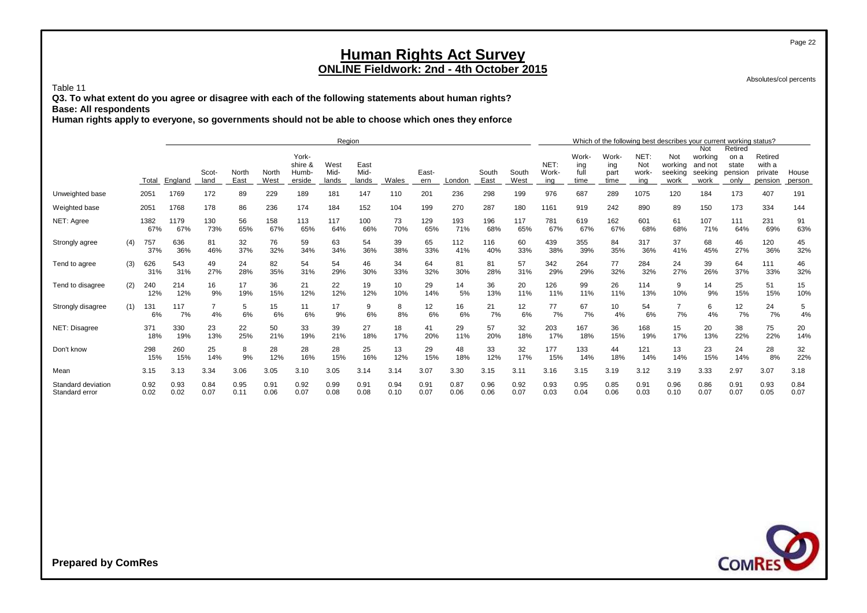Absolutes/col percents

Page 22

#### Table 11

**Q3. To what extent do you agree or disagree with each of the following statements about human rights? Base: All respondents**

**Human rights apply to everyone, so governments should not be able to choose which ones they enforce**

|                                      |     |              |              |                      |              |              |                           | Region       |              |              |              |              |              |              |               |                      |                      |                     | Which of the following best describes your current working status? |                                      |                                     |                              |              |
|--------------------------------------|-----|--------------|--------------|----------------------|--------------|--------------|---------------------------|--------------|--------------|--------------|--------------|--------------|--------------|--------------|---------------|----------------------|----------------------|---------------------|--------------------------------------------------------------------|--------------------------------------|-------------------------------------|------------------------------|--------------|
|                                      |     |              |              | Scot-                | North        | North        | York-<br>shire &<br>Humb- | West<br>Mid- | East<br>Mid- |              | East-        |              | South        | South        | NET:<br>Work- | Work-<br>ing<br>full | Work-<br>ing<br>part | NET:<br>Not<br>work | Not<br>working<br>seeking                                          | Not<br>working<br>and not<br>seeking | Retired<br>on a<br>state<br>pension | Retired<br>with a<br>private | House        |
|                                      |     | Total        | England      | land                 | East         | West         | erside                    | lands        | lands        | Wales        | ern          | London       | East         | West         | ina           | time                 | time                 | ing                 | work                                                               | work                                 | only                                | pension                      | person       |
| Unweighted base                      |     | 2051         | 1769         | 172                  | 89           | 229          | 189                       | 181          | 147          | 110          | 201          | 236          | 298          | 199          | 976           | 687                  | 289                  | 1075                | 120                                                                | 184                                  | 173                                 | 407                          | 191          |
| Weighted base                        |     | 2051         | 1768         | 178                  | 86           | 236          | 174                       | 184          | 152          | 104          | 199          | 270          | 287          | 180          | 1161          | 919                  | 242                  | 890                 | 89                                                                 | 150                                  | 173                                 | 334                          | 144          |
| NET: Agree                           |     | 1382<br>67%  | 1179<br>67%  | 130<br>73%           | 56<br>65%    | 158<br>67%   | 113<br>65%                | 117<br>64%   | 100<br>66%   | 73<br>70%    | 129<br>65%   | 193<br>71%   | 196<br>68%   | 117<br>65%   | 781<br>67%    | 619<br>67%           | 162<br>67%           | 601<br>68%          | 61<br>68%                                                          | 107<br>71%                           | 111<br>64%                          | 231<br>69%                   | 91<br>63%    |
| Strongly agree                       | (4) | 757<br>37%   | 636<br>36%   | 81<br>46%            | 32<br>37%    | 76<br>32%    | 59<br>34%                 | 63<br>34%    | 54<br>36%    | 39<br>38%    | 65<br>33%    | 112<br>41%   | 116<br>40%   | 60<br>33%    | 439<br>38%    | 355<br>39%           | 84<br>35%            | 317<br>36%          | 37<br>41%                                                          | 68<br>45%                            | 46<br>27%                           | 120<br>36%                   | 45<br>32%    |
| Tend to agree                        | (3) | 626<br>31%   | 543<br>31%   | 49<br>27%            | 24<br>28%    | 82<br>35%    | 54<br>31%                 | 54<br>29%    | 46<br>30%    | 34<br>33%    | 64<br>32%    | 81<br>30%    | 81<br>28%    | 57<br>31%    | 342<br>29%    | 264<br>29%           | 77<br>32%            | 284<br>32%          | 24<br>27%                                                          | 39<br>26%                            | 64<br>37%                           | 111<br>33%                   | 46<br>32%    |
| Tend to disagree                     | (2) | 240<br>12%   | 214<br>12%   | 16<br>9%             | 17<br>19%    | 36<br>15%    | 21<br>12%                 | 22<br>12%    | 19<br>12%    | 10<br>10%    | 29<br>14%    | 14<br>5%     | 36<br>13%    | 20<br>11%    | 126<br>11%    | 99<br>11%            | 26<br>11%            | 114<br>13%          | 9<br>10%                                                           | 14<br>9%                             | 25<br>15%                           | 51<br>15%                    | 15<br>10%    |
| Strongly disagree                    | (1) | 131<br>6%    | 117<br>7%    | $\overline{7}$<br>4% | 5<br>6%      | 15<br>6%     | 11<br>6%                  | 17<br>9%     | 9<br>6%      | 8<br>8%      | 12<br>6%     | 16<br>6%     | 21<br>7%     | 12<br>6%     | 77<br>7%      | 67<br>7%             | 10<br>4%             | 54<br>6%            | 7<br>7%                                                            | 6<br>4%                              | 12<br>7%                            | 24<br>7%                     | 5<br>4%      |
| NET: Disagree                        |     | 371<br>18%   | 330<br>19%   | 23<br>13%            | 22<br>25%    | 50<br>21%    | 33<br>19%                 | 39<br>21%    | 27<br>18%    | 18<br>17%    | 41<br>20%    | 29<br>11%    | 57<br>20%    | 32<br>18%    | 203<br>17%    | 167<br>18%           | 36<br>15%            | 168<br>19%          | 15<br>17%                                                          | 20<br>13%                            | 38<br>22%                           | 75<br>22%                    | 20<br>14%    |
| Don't know                           |     | 298<br>15%   | 260<br>15%   | 25<br>14%            | 8<br>9%      | 28<br>12%    | 28<br>16%                 | 28<br>15%    | 25<br>16%    | 13<br>12%    | 29<br>15%    | 48<br>18%    | 33<br>12%    | 32<br>17%    | 177<br>15%    | 133<br>14%           | 44<br>18%            | 121<br>14%          | 13<br>14%                                                          | 23<br>15%                            | 24<br>14%                           | 28<br>8%                     | 32<br>22%    |
| Mean                                 |     | 3.15         | 3.13         | 3.34                 | 3.06         | 3.05         | 3.10                      | 3.05         | 3.14         | 3.14         | 3.07         | 3.30         | 3.15         | 3.11         | 3.16          | 3.15                 | 3.19                 | 3.12                | 3.19                                                               | 3.33                                 | 2.97                                | 3.07                         | 3.18         |
| Standard deviation<br>Standard error |     | 0.92<br>0.02 | 0.93<br>0.02 | 0.84<br>0.07         | 0.95<br>0.11 | 0.91<br>0.06 | 0.92<br>0.07              | 0.99<br>0.08 | 0.91<br>0.08 | 0.94<br>0.10 | 0.91<br>0.07 | 0.87<br>0.06 | 0.96<br>0.06 | 0.92<br>0.07 | 0.93<br>0.03  | 0.95<br>0.04         | 0.85<br>0.06         | 0.91<br>0.03        | 0.96<br>0.10                                                       | 0.86<br>0.07                         | 0.91<br>0.07                        | 0.93<br>0.05                 | 0.84<br>0.07 |

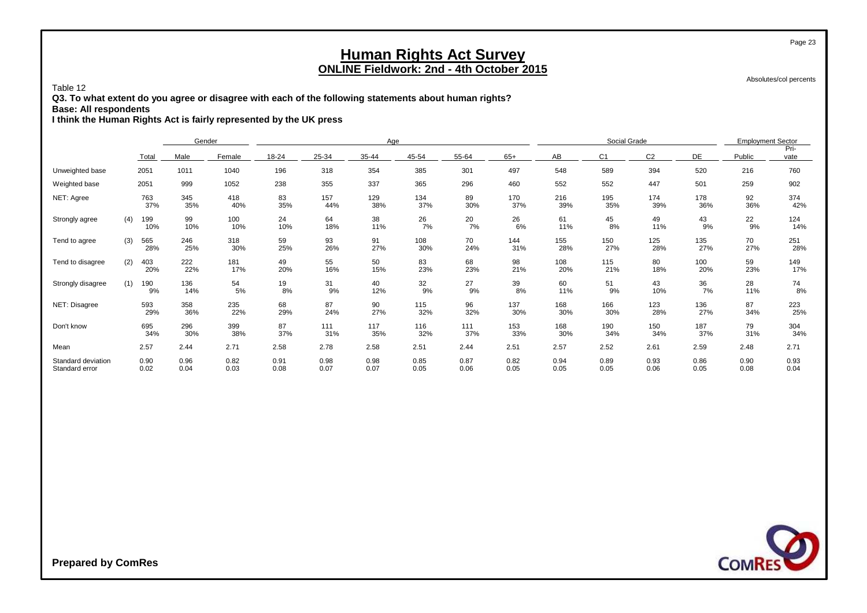Absolutes/col percents

#### Table 12

**Q3. To what extent do you agree or disagree with each of the following statements about human rights?**

**Base: All respondents**

**I think the Human Rights Act is fairly represented by the UK press**

|                                      |     |              | Gender       |              |              |              | Age          |              |              |              |              | Social Grade   |              |              | <b>Employment Sector</b> |              |
|--------------------------------------|-----|--------------|--------------|--------------|--------------|--------------|--------------|--------------|--------------|--------------|--------------|----------------|--------------|--------------|--------------------------|--------------|
|                                      |     | Total        | Male         | Female       | 18-24        | 25-34        | 35-44        | 45-54        | 55-64        | $65+$        | AB           | C <sub>1</sub> | C2           | DE           | Public                   | Pri-<br>vate |
| Unweighted base                      |     | 2051         | 1011         | 1040         | 196          | 318          | 354          | 385          | 301          | 497          | 548          | 589            | 394          | 520          | 216                      | 760          |
| Weighted base                        |     | 2051         | 999          | 1052         | 238          | 355          | 337          | 365          | 296          | 460          | 552          | 552            | 447          | 501          | 259                      | 902          |
| NET: Agree                           |     | 763<br>37%   | 345<br>35%   | 418<br>40%   | 83<br>35%    | 157<br>44%   | 129<br>38%   | 134<br>37%   | 89<br>30%    | 170<br>37%   | 216<br>39%   | 195<br>35%     | 174<br>39%   | 178<br>36%   | 92<br>36%                | 374<br>42%   |
| Strongly agree                       | (4) | 199<br>10%   | 99<br>10%    | 100<br>10%   | 24<br>10%    | 64<br>18%    | 38<br>11%    | 26<br>7%     | 20<br>7%     | 26<br>6%     | 61<br>11%    | 45<br>8%       | 49<br>11%    | 43<br>9%     | 22<br>9%                 | 124<br>14%   |
| Tend to agree                        | (3) | 565<br>28%   | 246<br>25%   | 318<br>30%   | 59<br>25%    | 93<br>26%    | 91<br>27%    | 108<br>30%   | 70<br>24%    | 144<br>31%   | 155<br>28%   | 150<br>27%     | 125<br>28%   | 135<br>27%   | 70<br>27%                | 251<br>28%   |
| Tend to disagree                     | (2) | 403<br>20%   | 222<br>22%   | 181<br>17%   | 49<br>20%    | 55<br>16%    | 50<br>15%    | 83<br>23%    | 68<br>23%    | 98<br>21%    | 108<br>20%   | 115<br>21%     | 80<br>18%    | 100<br>20%   | 59<br>23%                | 149<br>17%   |
| Strongly disagree                    | (1) | 190<br>9%    | 136<br>14%   | 54<br>5%     | 19<br>8%     | 31<br>9%     | 40<br>12%    | 32<br>9%     | 27<br>9%     | 39<br>8%     | 60<br>11%    | 51<br>9%       | 43<br>10%    | 36<br>7%     | 28<br>11%                | 74<br>8%     |
| NET: Disagree                        |     | 593<br>29%   | 358<br>36%   | 235<br>22%   | 68<br>29%    | 87<br>24%    | 90<br>27%    | 115<br>32%   | 96<br>32%    | 137<br>30%   | 168<br>30%   | 166<br>30%     | 123<br>28%   | 136<br>27%   | 87<br>34%                | 223<br>25%   |
| Don't know                           |     | 695<br>34%   | 296<br>30%   | 399<br>38%   | 87<br>37%    | 111<br>31%   | 117<br>35%   | 116<br>32%   | 111<br>37%   | 153<br>33%   | 168<br>30%   | 190<br>34%     | 150<br>34%   | 187<br>37%   | 79<br>31%                | 304<br>34%   |
| Mean                                 |     | 2.57         | 2.44         | 2.71         | 2.58         | 2.78         | 2.58         | 2.51         | 2.44         | 2.51         | 2.57         | 2.52           | 2.61         | 2.59         | 2.48                     | 2.71         |
| Standard deviation<br>Standard error |     | 0.90<br>0.02 | 0.96<br>0.04 | 0.82<br>0.03 | 0.91<br>0.08 | 0.98<br>0.07 | 0.98<br>0.07 | 0.85<br>0.05 | 0.87<br>0.06 | 0.82<br>0.05 | 0.94<br>0.05 | 0.89<br>0.05   | 0.93<br>0.06 | 0.86<br>0.05 | 0.90<br>0.08             | 0.93<br>0.04 |